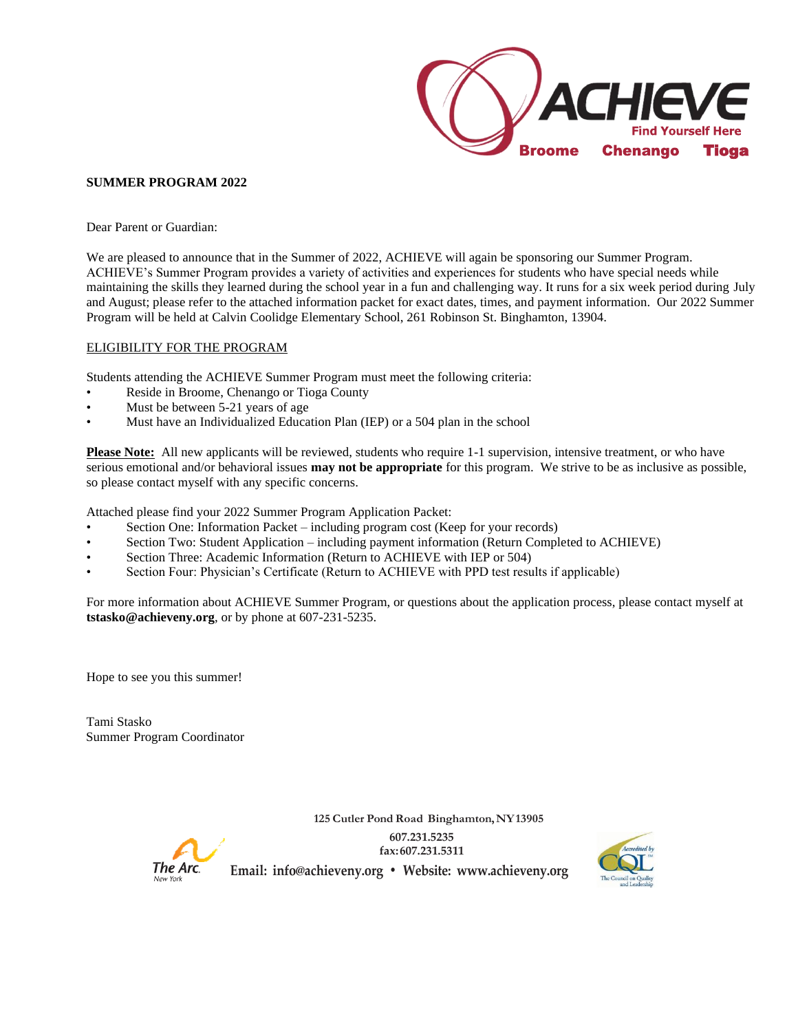

#### **SUMMER PROGRAM 2022**

Dear Parent or Guardian:

We are pleased to announce that in the Summer of 2022, ACHIEVE will again be sponsoring our Summer Program. ACHIEVE's Summer Program provides a variety of activities and experiences for students who have special needs while maintaining the skills they learned during the school year in a fun and challenging way. It runs for a six week period during July and August; please refer to the attached information packet for exact dates, times, and payment information. Our 2022 Summer Program will be held at Calvin Coolidge Elementary School, 261 Robinson St. Binghamton, 13904.

#### ELIGIBILITY FOR THE PROGRAM

Students attending the ACHIEVE Summer Program must meet the following criteria:

- Reside in Broome, Chenango or Tioga County
- Must be between 5-21 years of age
- Must have an Individualized Education Plan (IEP) or a 504 plan in the school

**Please Note:** All new applicants will be reviewed, students who require 1-1 supervision, intensive treatment, or who have serious emotional and/or behavioral issues **may not be appropriate** for this program. We strive to be as inclusive as possible, so please contact myself with any specific concerns.

Attached please find your 2022 Summer Program Application Packet:

- Section One: Information Packet including program cost (Keep for your records)
- Section Two: Student Application including payment information (Return Completed to ACHIEVE)
- Section Three: Academic Information (Return to ACHIEVE with IEP or 504)
- Section Four: Physician's Certificate (Return to ACHIEVE with PPD test results if applicable)

For more information about ACHIEVE Summer Program, or questions about the application process, please contact myself at **tstasko@achieveny.org**, or by phone at 607-231-5235.

Hope to see you this summer!

Tami Stasko Summer Program Coordinator



**125 Cutler Pond Road Binghamton,NY13905 607.231.5235 fax:607.231.5311 Email: [info@achieveny.org](mailto:info@achieveny.org) • Website: [www.achieveny.org](http://www.achieveny.org/)**

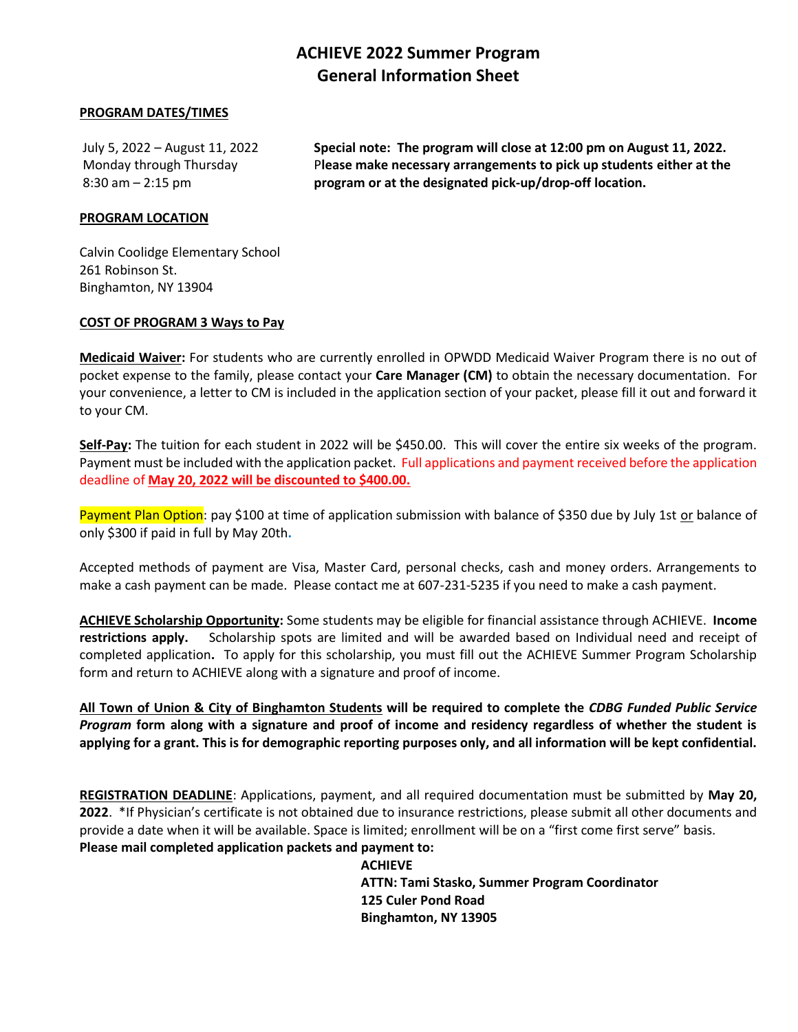#### **ACHIEVE 2022 Summer Program General Information Sheet**

#### **PROGRAM DATES/TIMES**

July 5, 2022 – August 11, 2022 **Special note: The program will close at 12:00 pm on August 11, 2022.**  Monday through Thursday P**lease make necessary arrangements to pick up students either at the** 8:30 am – 2:15 pm **program or at the designated pick-up/drop-off location.** 

#### **PROGRAM LOCATION**

Calvin Coolidge Elementary School 261 Robinson St. Binghamton, NY 13904

#### **COST OF PROGRAM 3 Ways to Pay**

**Medicaid Waiver:** For students who are currently enrolled in OPWDD Medicaid Waiver Program there is no out of pocket expense to the family, please contact your **Care Manager (CM)** to obtain the necessary documentation. For your convenience, a letter to CM is included in the application section of your packet, please fill it out and forward it to your CM.

**Self-Pay:** The tuition for each student in 2022 will be \$450.00. This will cover the entire six weeks of the program. Payment must be included with the application packet. Full applications and payment received before the application deadline of **May 20, 2022 will be discounted to \$400.00.** 

Payment Plan Option: pay \$100 at time of application submission with balance of \$350 due by July 1st or balance of only \$300 if paid in full by May 20th**.** 

Accepted methods of payment are Visa, Master Card, personal checks, cash and money orders. Arrangements to make a cash payment can be made. Please contact me at 607-231-5235 if you need to make a cash payment.

**ACHIEVE Scholarship Opportunity:** Some students may be eligible for financial assistance through ACHIEVE. **Income restrictions apply.** Scholarship spots are limited and will be awarded based on Individual need and receipt of completed application**.** To apply for this scholarship, you must fill out the ACHIEVE Summer Program Scholarship form and return to ACHIEVE along with a signature and proof of income.

**All Town of Union & City of Binghamton Students will be required to complete the** *CDBG Funded Public Service Program* **form along with a signature and proof of income and residency regardless of whether the student is applying for a grant. This is for demographic reporting purposes only, and all information will be kept confidential.** 

**REGISTRATION DEADLINE**: Applications, payment, and all required documentation must be submitted by **May 20, 2022**. \*If Physician's certificate is not obtained due to insurance restrictions, please submit all other documents and provide a date when it will be available. Space is limited; enrollment will be on a "first come first serve" basis. **Please mail completed application packets and payment to:**

> **ACHIEVE ATTN: Tami Stasko, Summer Program Coordinator 125 Culer Pond Road Binghamton, NY 13905**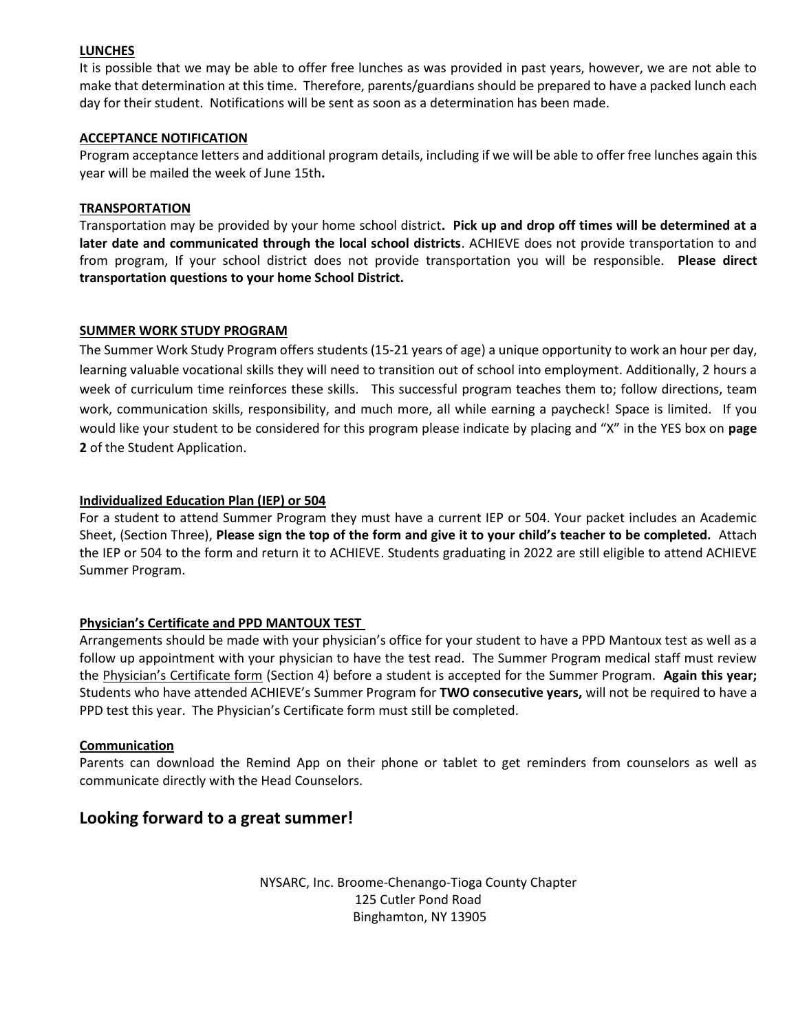#### **LUNCHES**

It is possible that we may be able to offer free lunches as was provided in past years, however, we are not able to make that determination at this time. Therefore, parents/guardians should be prepared to have a packed lunch each day for their student. Notifications will be sent as soon as a determination has been made.

#### **ACCEPTANCE NOTIFICATION**

Program acceptance letters and additional program details, including if we will be able to offer free lunches again this year will be mailed the week of June 15th**.**

#### **TRANSPORTATION**

Transportation may be provided by your home school district**. Pick up and drop off times will be determined at a later date and communicated through the local school districts**. ACHIEVE does not provide transportation to and from program, If your school district does not provide transportation you will be responsible. **Please direct transportation questions to your home School District.** 

#### **SUMMER WORK STUDY PROGRAM**

The Summer Work Study Program offers students (15-21 years of age) a unique opportunity to work an hour per day, learning valuable vocational skills they will need to transition out of school into employment. Additionally, 2 hours a week of curriculum time reinforces these skills. This successful program teaches them to; follow directions, team work, communication skills, responsibility, and much more, all while earning a paycheck! Space is limited.If you would like your student to be considered for this program please indicate by placing and "X" in the YES box on **page 2** of the Student Application.

#### **Individualized Education Plan (IEP) or 504**

For a student to attend Summer Program they must have a current IEP or 504. Your packet includes an Academic Sheet, (Section Three), **Please sign the top of the form and give it to your child's teacher to be completed.** Attach the IEP or 504 to the form and return it to ACHIEVE. Students graduating in 2022 are still eligible to attend ACHIEVE Summer Program.

#### **Physician's Certificate and PPD MANTOUX TEST**

Arrangements should be made with your physician's office for your student to have a PPD Mantoux test as well as a follow up appointment with your physician to have the test read. The Summer Program medical staff must review the Physician's Certificate form (Section 4) before a student is accepted for the Summer Program. **Again this year;**  Students who have attended ACHIEVE's Summer Program for **TWO consecutive years,** will not be required to have a PPD test this year. The Physician's Certificate form must still be completed.

#### **Communication**

Parents can download the Remind App on their phone or tablet to get reminders from counselors as well as communicate directly with the Head Counselors.

#### **Looking forward to a great summer!**

NYSARC, Inc. Broome-Chenango-Tioga County Chapter 125 Cutler Pond Road Binghamton, NY 13905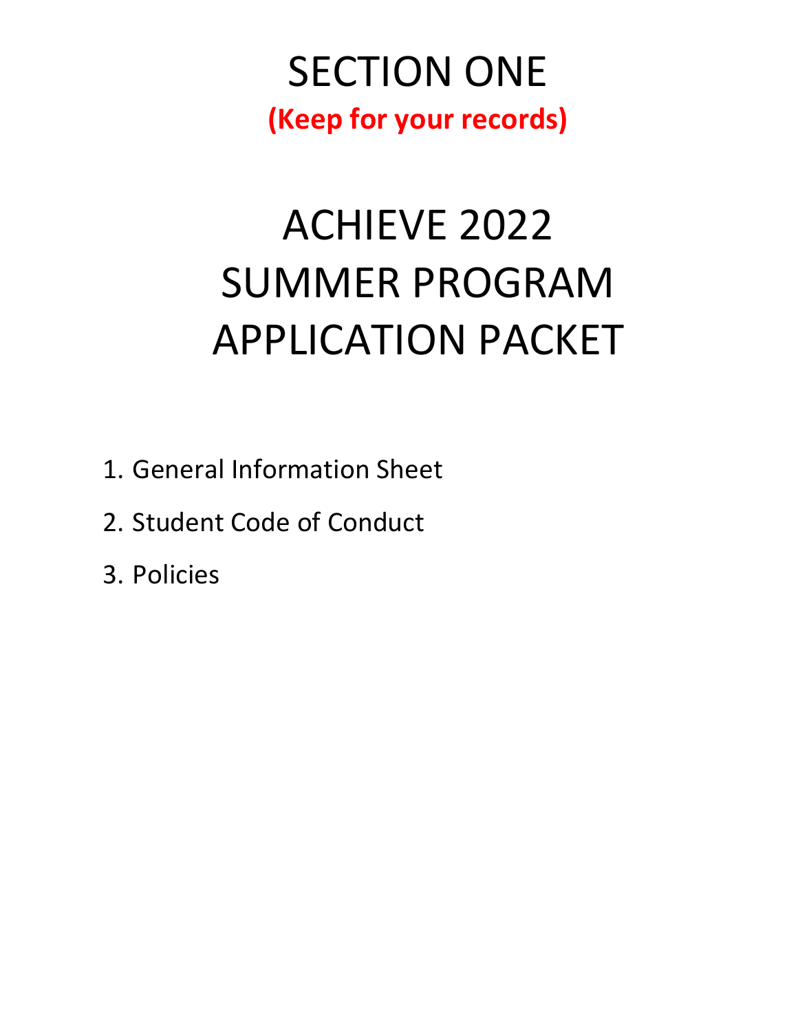### SECTION ONE **(Keep for your records)**

# ACHIEVE 2022 SUMMER PROGRAM APPLICATION PACKET

- 1. General Information Sheet
- 2. Student Code of Conduct
- 3. Policies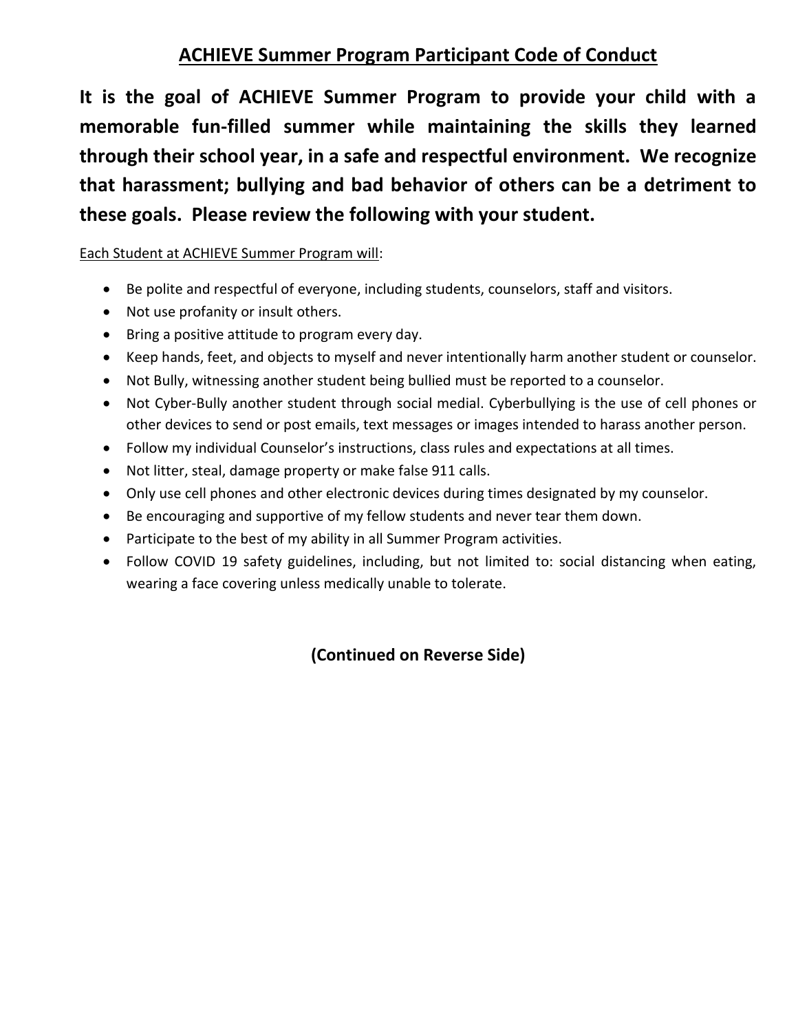### **ACHIEVE Summer Program Participant Code of Conduct**

**It is the goal of ACHIEVE Summer Program to provide your child with a memorable fun-filled summer while maintaining the skills they learned through their school year, in a safe and respectful environment. We recognize that harassment; bullying and bad behavior of others can be a detriment to these goals. Please review the following with your student.** 

#### Each Student at ACHIEVE Summer Program will:

- Be polite and respectful of everyone, including students, counselors, staff and visitors.
- Not use profanity or insult others.
- Bring a positive attitude to program every day.
- Keep hands, feet, and objects to myself and never intentionally harm another student or counselor.
- Not Bully, witnessing another student being bullied must be reported to a counselor.
- Not Cyber-Bully another student through social medial. Cyberbullying is the use of cell phones or other devices to send or post emails, text messages or images intended to harass another person.
- Follow my individual Counselor's instructions, class rules and expectations at all times.
- Not litter, steal, damage property or make false 911 calls.
- Only use cell phones and other electronic devices during times designated by my counselor.
- Be encouraging and supportive of my fellow students and never tear them down.
- Participate to the best of my ability in all Summer Program activities.
- Follow COVID 19 safety guidelines, including, but not limited to: social distancing when eating, wearing a face covering unless medically unable to tolerate.

#### **(Continued on Reverse Side)**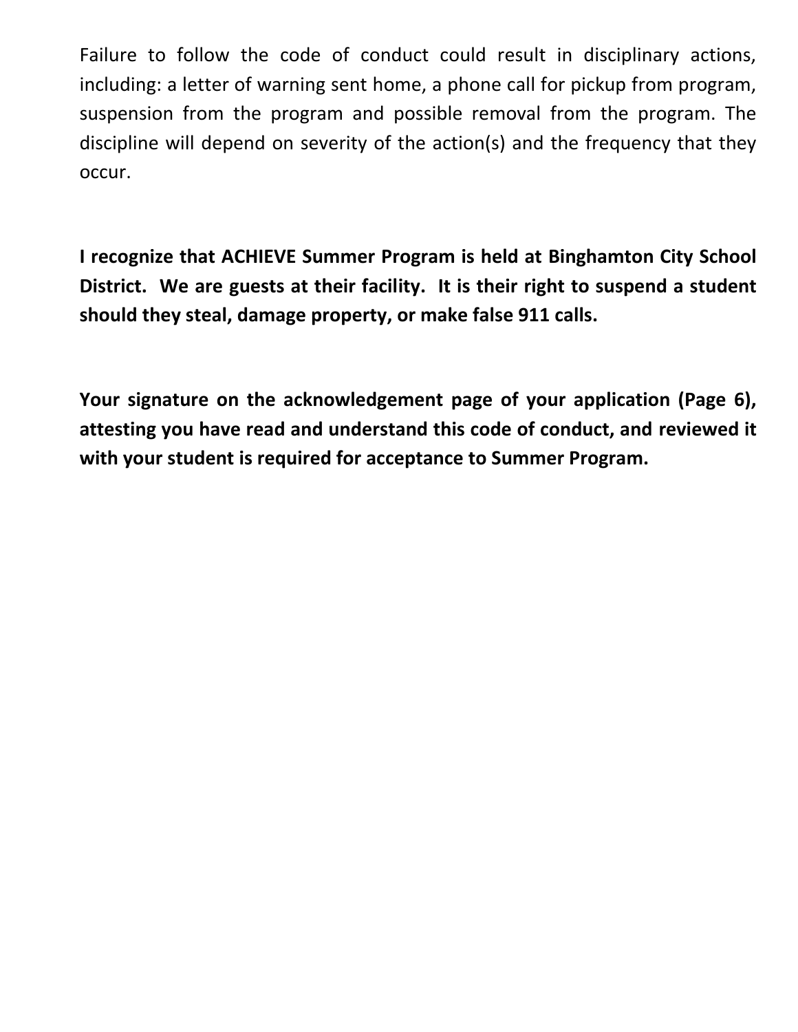Failure to follow the code of conduct could result in disciplinary actions, including: a letter of warning sent home, a phone call for pickup from program, suspension from the program and possible removal from the program. The discipline will depend on severity of the action(s) and the frequency that they occur.

**I recognize that ACHIEVE Summer Program is held at Binghamton City School District. We are guests at their facility. It is their right to suspend a student should they steal, damage property, or make false 911 calls.**

**Your signature on the acknowledgement page of your application (Page 6), attesting you have read and understand this code of conduct, and reviewed it with your student is required for acceptance to Summer Program.**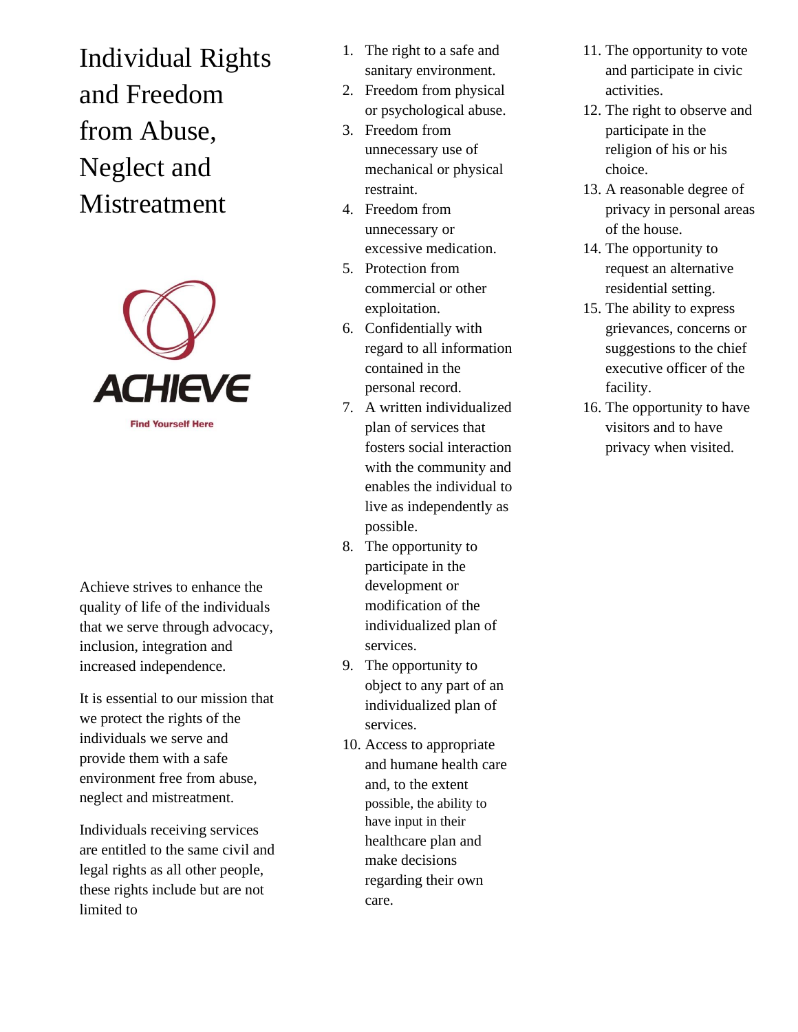Individual Rights and Freedom from Abuse, Neglect and Mistreatment



Achieve strives to enhance the quality of life of the individuals that we serve through advocacy, inclusion, integration and increased independence.

It is essential to our mission that we protect the rights of the individuals we serve and provide them with a safe environment free from abuse, neglect and mistreatment.

Individuals receiving services are entitled to the same civil and legal rights as all other people, these rights include but are not limited to

- 1. The right to a safe and sanitary environment.
- 2. Freedom from physical or psychological abuse.
- 3. Freedom from unnecessary use of mechanical or physical restraint.
- 4. Freedom from unnecessary or excessive medication.
- 5. Protection from commercial or other exploitation.
- 6. Confidentially with regard to all information contained in the personal record.
- 7. A written individualized plan of services that fosters social interaction with the community and enables the individual to live as independently as possible.
- 8. The opportunity to participate in the development or modification of the individualized plan of services.
- 9. The opportunity to object to any part of an individualized plan of services.
- 10. Access to appropriate and humane health care and, to the extent possible, the ability to have input in their healthcare plan and make decisions regarding their own care.
- 11. The opportunity to vote and participate in civic activities.
- 12. The right to observe and participate in the religion of his or his choice.
- 13. A reasonable degree of privacy in personal areas of the house.
- 14. The opportunity to request an alternative residential setting.
- 15. The ability to express grievances, concerns or suggestions to the chief executive officer of the facility.
- 16. The opportunity to have visitors and to have privacy when visited.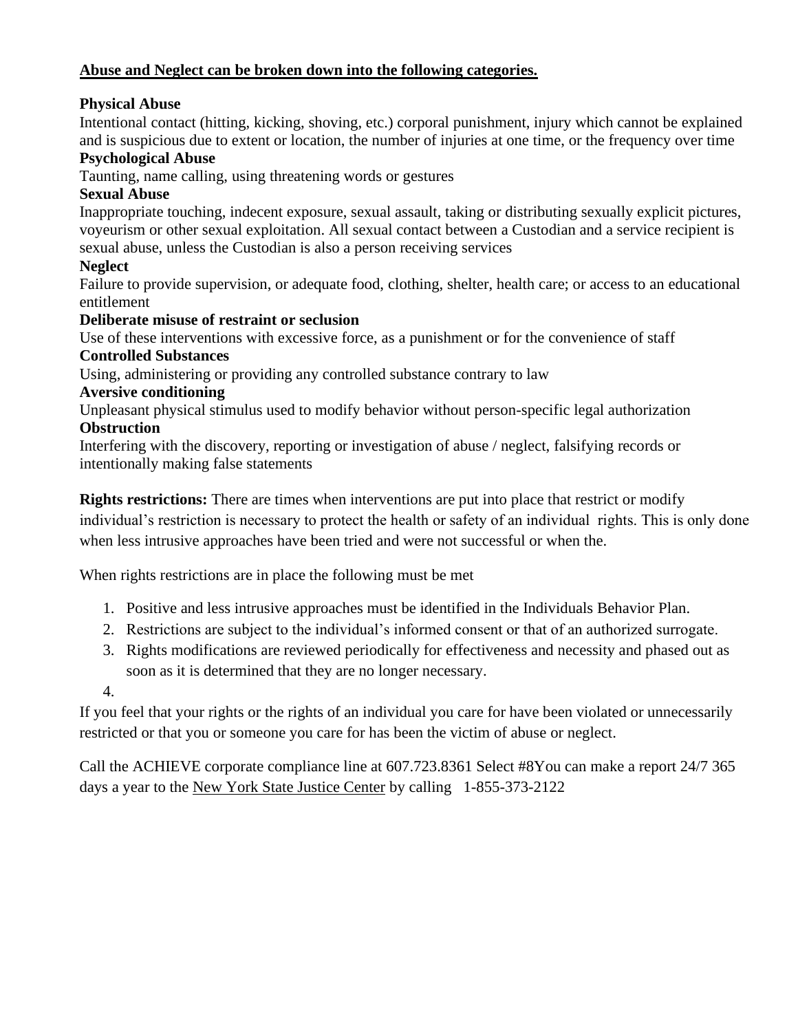#### **Abuse and Neglect can be broken down into the following categories.**

#### **Physical Abuse**

Intentional contact (hitting, kicking, shoving, etc.) corporal punishment, injury which cannot be explained and is suspicious due to extent or location, the number of injuries at one time, or the frequency over time

#### **Psychological Abuse**

Taunting, name calling, using threatening words or gestures

#### **Sexual Abuse**

Inappropriate touching, indecent exposure, sexual assault, taking or distributing sexually explicit pictures, voyeurism or other sexual exploitation. All sexual contact between a Custodian and a service recipient is sexual abuse, unless the Custodian is also a person receiving services

#### **Neglect**

Failure to provide supervision, or adequate food, clothing, shelter, health care; or access to an educational entitlement

#### **Deliberate misuse of restraint or seclusion**

Use of these interventions with excessive force, as a punishment or for the convenience of staff **Controlled Substances**

Using, administering or providing any controlled substance contrary to law

#### **Aversive conditioning**

Unpleasant physical stimulus used to modify behavior without person-specific legal authorization **Obstruction**

Interfering with the discovery, reporting or investigation of abuse / neglect, falsifying records or intentionally making false statements

**Rights restrictions:** There are times when interventions are put into place that restrict or modify individual's restriction is necessary to protect the health or safety of an individual rights. This is only done

when less intrusive approaches have been tried and were not successful or when the.

When rights restrictions are in place the following must be met

- 1. Positive and less intrusive approaches must be identified in the Individuals Behavior Plan.
- 2. Restrictions are subject to the individual's informed consent or that of an authorized surrogate.
- 3. Rights modifications are reviewed periodically for effectiveness and necessity and phased out as soon as it is determined that they are no longer necessary.
- 4.

If you feel that your rights or the rights of an individual you care for have been violated or unnecessarily restricted or that you or someone you care for has been the victim of abuse or neglect.

Call the ACHIEVE corporate compliance line at 607.723.8361 Select #8You can make a report 24/7 365 days a year to the New York State Justice Center by calling 1-855-373-2122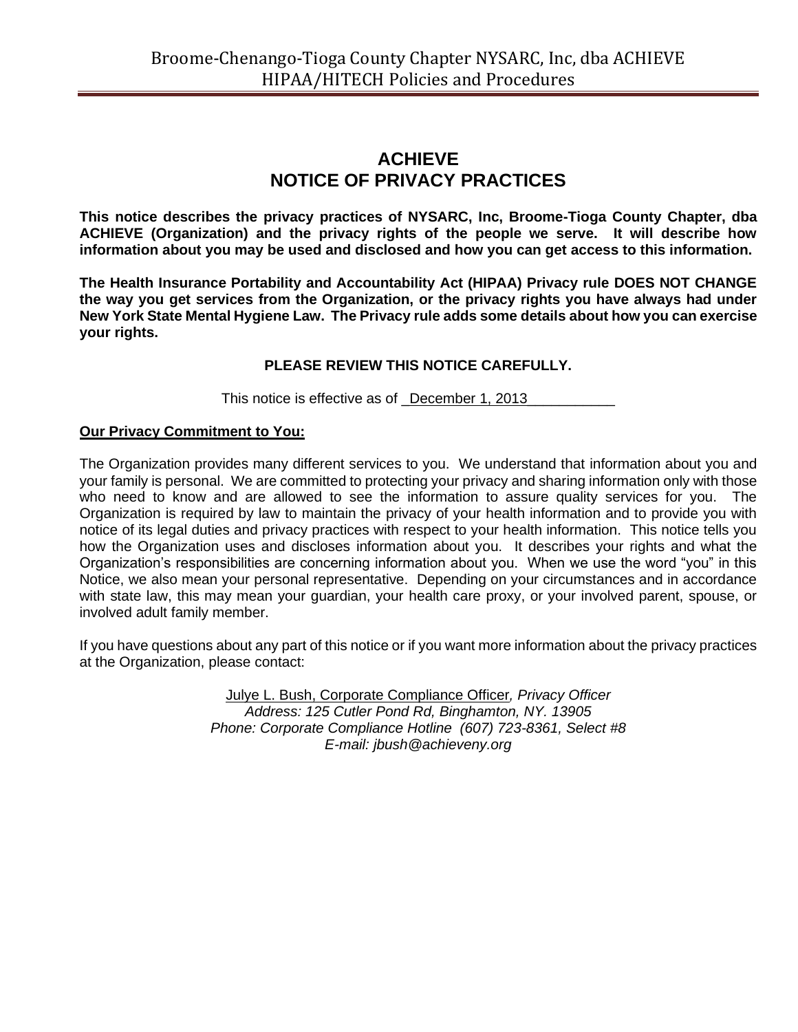#### **ACHIEVE NOTICE OF PRIVACY PRACTICES**

**This notice describes the privacy practices of NYSARC, Inc, Broome-Tioga County Chapter, dba ACHIEVE (Organization) and the privacy rights of the people we serve. It will describe how information about you may be used and disclosed and how you can get access to this information.**

**The Health Insurance Portability and Accountability Act (HIPAA) Privacy rule DOES NOT CHANGE the way you get services from the Organization, or the privacy rights you have always had under New York State Mental Hygiene Law. The Privacy rule adds some details about how you can exercise your rights.**

#### **PLEASE REVIEW THIS NOTICE CAREFULLY.**

This notice is effective as of \_December 1, 2013\_\_\_\_\_

#### **Our Privacy Commitment to You:**

The Organization provides many different services to you. We understand that information about you and your family is personal. We are committed to protecting your privacy and sharing information only with those who need to know and are allowed to see the information to assure quality services for you. The Organization is required by law to maintain the privacy of your health information and to provide you with notice of its legal duties and privacy practices with respect to your health information. This notice tells you how the Organization uses and discloses information about you. It describes your rights and what the Organization's responsibilities are concerning information about you. When we use the word "you" in this Notice, we also mean your personal representative. Depending on your circumstances and in accordance with state law, this may mean your guardian, your health care proxy, or your involved parent, spouse, or involved adult family member.

If you have questions about any part of this notice or if you want more information about the privacy practices at the Organization, please contact:

> Julye L. Bush, Corporate Compliance Officer*, Privacy Officer Address: 125 Cutler Pond Rd, Binghamton, NY. 13905 Phone: Corporate Compliance Hotline (607) 723-8361, Select #8 E-mail: jbush@achieveny.org*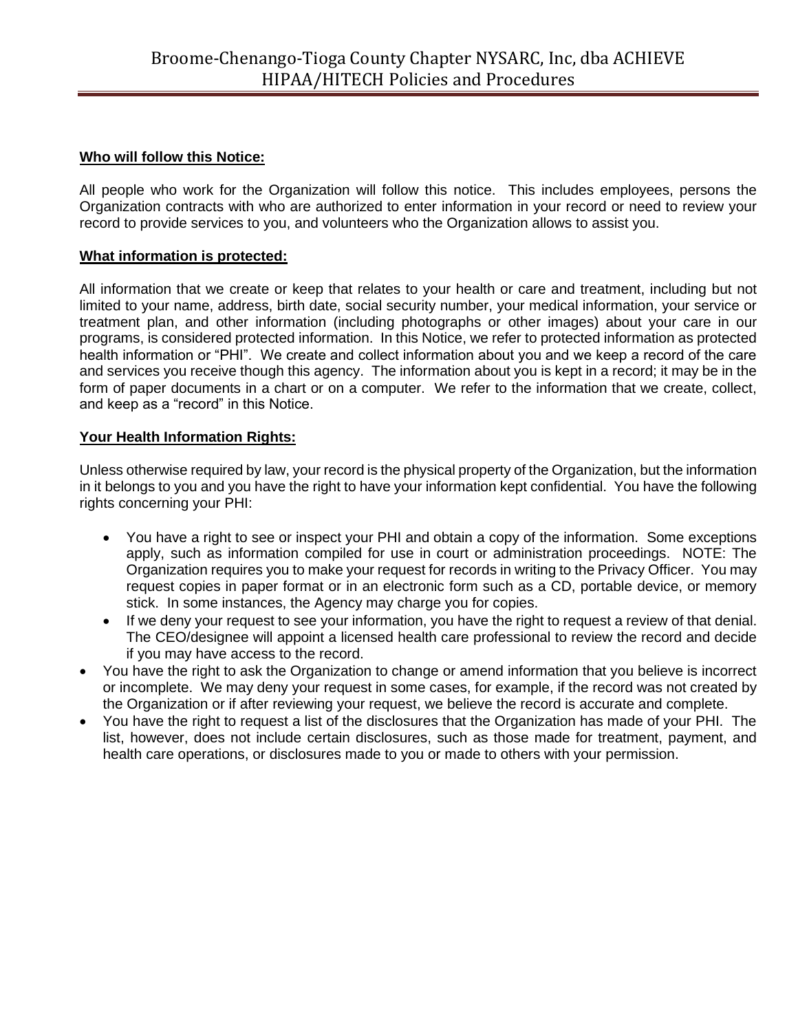#### **Who will follow this Notice:**

All people who work for the Organization will follow this notice. This includes employees, persons the Organization contracts with who are authorized to enter information in your record or need to review your record to provide services to you, and volunteers who the Organization allows to assist you.

#### **What information is protected:**

All information that we create or keep that relates to your health or care and treatment, including but not limited to your name, address, birth date, social security number, your medical information, your service or treatment plan, and other information (including photographs or other images) about your care in our programs, is considered protected information. In this Notice, we refer to protected information as protected health information or "PHI". We create and collect information about you and we keep a record of the care and services you receive though this agency. The information about you is kept in a record; it may be in the form of paper documents in a chart or on a computer. We refer to the information that we create, collect, and keep as a "record" in this Notice.

#### **Your Health Information Rights:**

Unless otherwise required by law, your record is the physical property of the Organization, but the information in it belongs to you and you have the right to have your information kept confidential. You have the following rights concerning your PHI:

- You have a right to see or inspect your PHI and obtain a copy of the information. Some exceptions apply, such as information compiled for use in court or administration proceedings. NOTE: The Organization requires you to make your request for records in writing to the Privacy Officer. You may request copies in paper format or in an electronic form such as a CD, portable device, or memory stick. In some instances, the Agency may charge you for copies.
- If we deny your request to see your information, you have the right to request a review of that denial. The CEO/designee will appoint a licensed health care professional to review the record and decide if you may have access to the record.
- You have the right to ask the Organization to change or amend information that you believe is incorrect or incomplete. We may deny your request in some cases, for example, if the record was not created by the Organization or if after reviewing your request, we believe the record is accurate and complete.
- You have the right to request a list of the disclosures that the Organization has made of your PHI. The list, however, does not include certain disclosures, such as those made for treatment, payment, and health care operations, or disclosures made to you or made to others with your permission.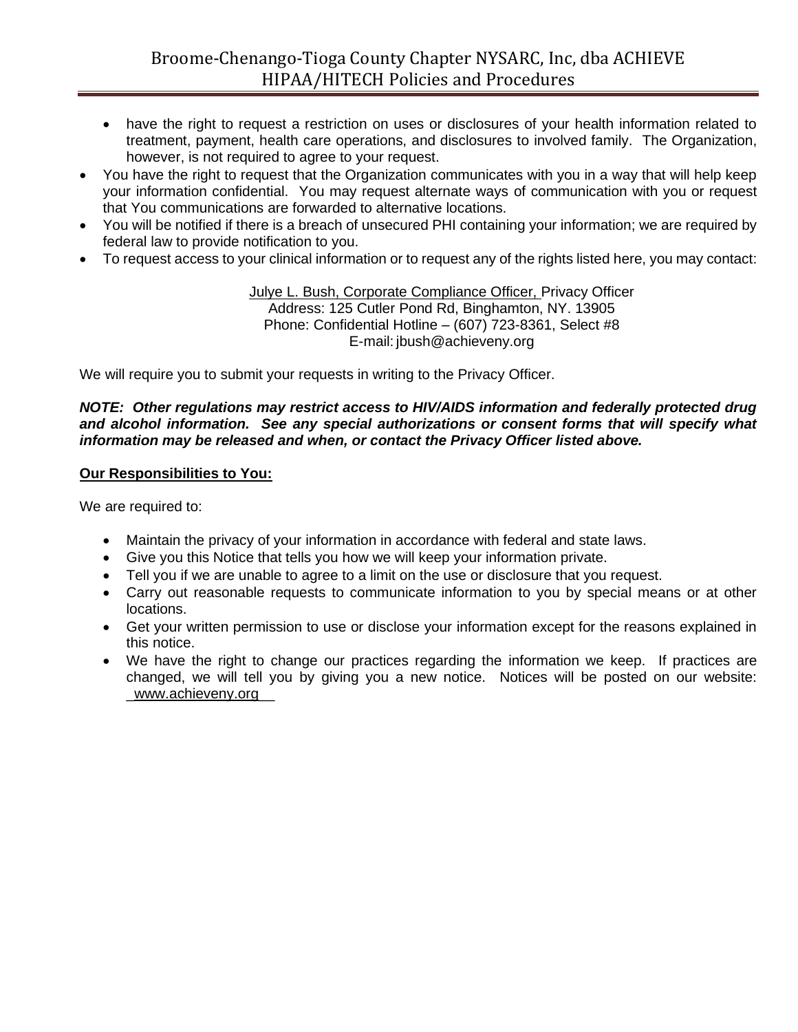- have the right to request a restriction on uses or disclosures of your health information related to treatment, payment, health care operations, and disclosures to involved family. The Organization, however, is not required to agree to your request.
- You have the right to request that the Organization communicates with you in a way that will help keep your information confidential. You may request alternate ways of communication with you or request that You communications are forwarded to alternative locations.
- You will be notified if there is a breach of unsecured PHI containing your information; we are required by federal law to provide notification to you.
- To request access to your clinical information or to request any of the rights listed here, you may contact:

#### Julye L. Bush, Corporate Compliance Officer, Privacy Officer Address: 125 Cutler Pond Rd, Binghamton, NY. 13905 Phone: Confidential Hotline – (607) 723-8361, Select #8 E-mail: jbush@achieveny.org

We will require you to submit your requests in writing to the Privacy Officer.

#### *NOTE: Other regulations may restrict access to HIV/AIDS information and federally protected drug and alcohol information. See any special authorizations or consent forms that will specify what information may be released and when, or contact the Privacy Officer listed above.*

#### **Our Responsibilities to You:**

We are required to:

- Maintain the privacy of your information in accordance with federal and state laws.
- Give you this Notice that tells you how we will keep your information private.
- Tell you if we are unable to agree to a limit on the use or disclosure that you request.
- Carry out reasonable requests to communicate information to you by special means or at other locations.
- Get your written permission to use or disclose your information except for the reasons explained in this notice.
- We have the right to change our practices regarding the information we keep. If practices are changed, we will tell you by giving you a new notice. Notices will be posted on our website: \_www.achieveny.org\_\_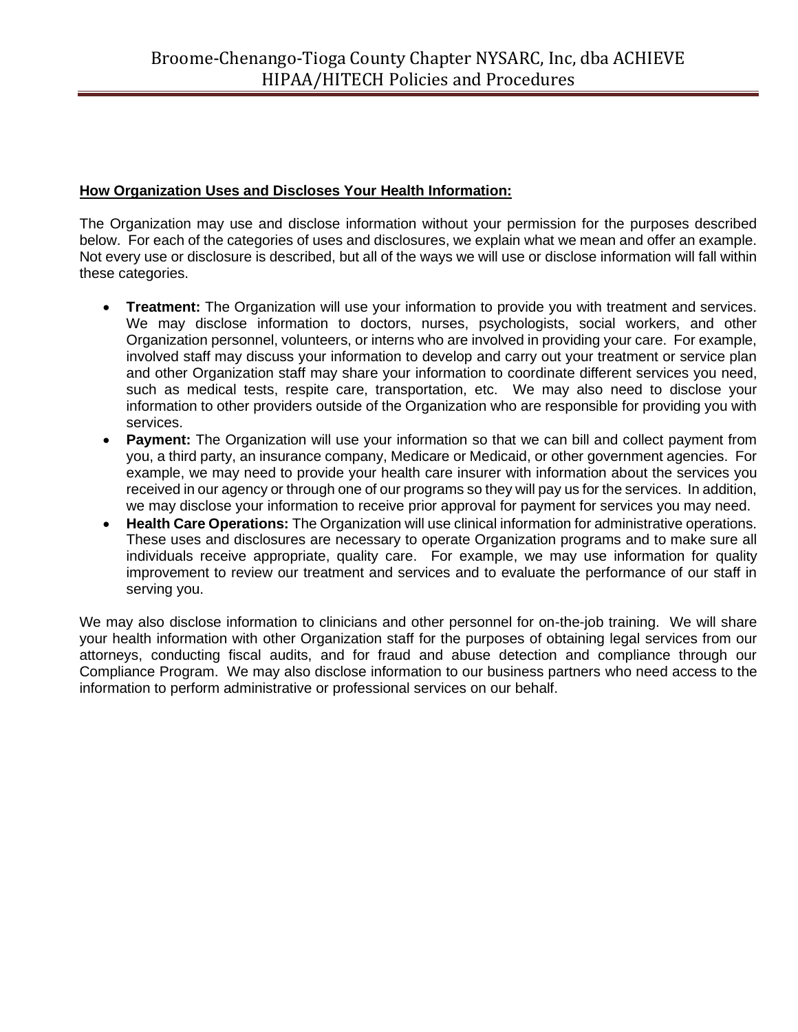#### **How Organization Uses and Discloses Your Health Information:**

The Organization may use and disclose information without your permission for the purposes described below. For each of the categories of uses and disclosures, we explain what we mean and offer an example. Not every use or disclosure is described, but all of the ways we will use or disclose information will fall within these categories.

- **Treatment:** The Organization will use your information to provide you with treatment and services. We may disclose information to doctors, nurses, psychologists, social workers, and other Organization personnel, volunteers, or interns who are involved in providing your care. For example, involved staff may discuss your information to develop and carry out your treatment or service plan and other Organization staff may share your information to coordinate different services you need, such as medical tests, respite care, transportation, etc. We may also need to disclose your information to other providers outside of the Organization who are responsible for providing you with services.
- **Payment:** The Organization will use your information so that we can bill and collect payment from you, a third party, an insurance company, Medicare or Medicaid, or other government agencies. For example, we may need to provide your health care insurer with information about the services you received in our agency or through one of our programs so they will pay us for the services. In addition, we may disclose your information to receive prior approval for payment for services you may need.
- **Health Care Operations:** The Organization will use clinical information for administrative operations. These uses and disclosures are necessary to operate Organization programs and to make sure all individuals receive appropriate, quality care. For example, we may use information for quality improvement to review our treatment and services and to evaluate the performance of our staff in serving you.

We may also disclose information to clinicians and other personnel for on-the-job training. We will share your health information with other Organization staff for the purposes of obtaining legal services from our attorneys, conducting fiscal audits, and for fraud and abuse detection and compliance through our Compliance Program. We may also disclose information to our business partners who need access to the information to perform administrative or professional services on our behalf.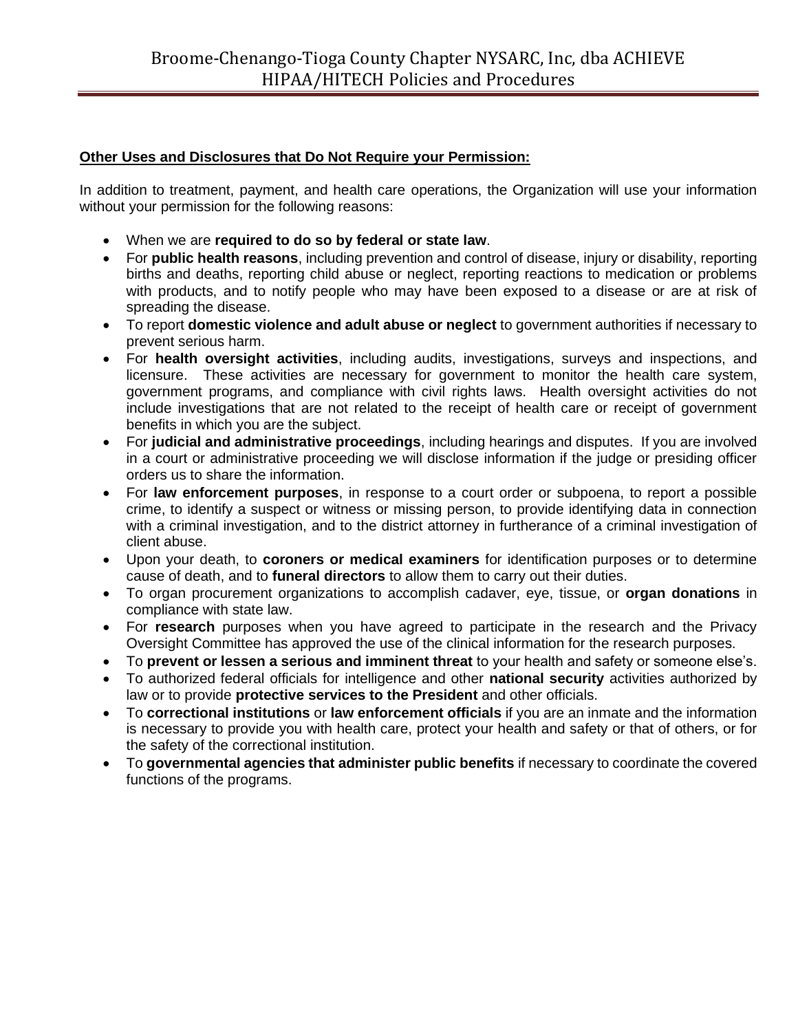#### **Other Uses and Disclosures that Do Not Require your Permission:**

In addition to treatment, payment, and health care operations, the Organization will use your information without your permission for the following reasons:

- When we are **required to do so by federal or state law**.
- For **public health reasons**, including prevention and control of disease, injury or disability, reporting births and deaths, reporting child abuse or neglect, reporting reactions to medication or problems with products, and to notify people who may have been exposed to a disease or are at risk of spreading the disease.
- To report **domestic violence and adult abuse or neglect** to government authorities if necessary to prevent serious harm.
- For **health oversight activities**, including audits, investigations, surveys and inspections, and licensure. These activities are necessary for government to monitor the health care system, government programs, and compliance with civil rights laws. Health oversight activities do not include investigations that are not related to the receipt of health care or receipt of government benefits in which you are the subject.
- For **judicial and administrative proceedings**, including hearings and disputes. If you are involved in a court or administrative proceeding we will disclose information if the judge or presiding officer orders us to share the information.
- For **law enforcement purposes**, in response to a court order or subpoena, to report a possible crime, to identify a suspect or witness or missing person, to provide identifying data in connection with a criminal investigation, and to the district attorney in furtherance of a criminal investigation of client abuse.
- Upon your death, to **coroners or medical examiners** for identification purposes or to determine cause of death, and to **funeral directors** to allow them to carry out their duties.
- To organ procurement organizations to accomplish cadaver, eye, tissue, or **organ donations** in compliance with state law.
- For **research** purposes when you have agreed to participate in the research and the Privacy Oversight Committee has approved the use of the clinical information for the research purposes.
- To **prevent or lessen a serious and imminent threat** to your health and safety or someone else's.
- To authorized federal officials for intelligence and other **national security** activities authorized by law or to provide **protective services to the President** and other officials.
- To **correctional institutions** or **law enforcement officials** if you are an inmate and the information is necessary to provide you with health care, protect your health and safety or that of others, or for the safety of the correctional institution.
- To **governmental agencies that administer public benefits** if necessary to coordinate the covered functions of the programs.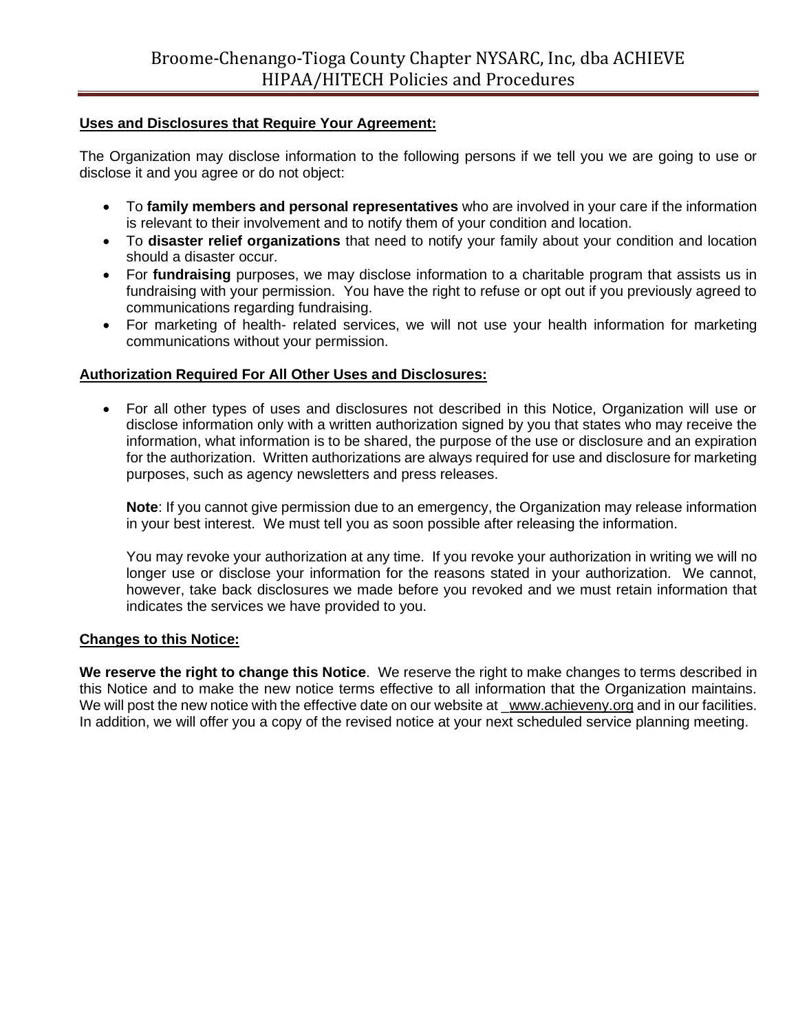#### **Uses and Disclosures that Require Your Agreement:**

The Organization may disclose information to the following persons if we tell you we are going to use or disclose it and you agree or do not object:

- To **family members and personal representatives** who are involved in your care if the information is relevant to their involvement and to notify them of your condition and location.
- To **disaster relief organizations** that need to notify your family about your condition and location should a disaster occur.
- For **fundraising** purposes, we may disclose information to a charitable program that assists us in fundraising with your permission. You have the right to refuse or opt out if you previously agreed to communications regarding fundraising.
- For marketing of health- related services, we will not use your health information for marketing communications without your permission.

#### **Authorization Required For All Other Uses and Disclosures:**

• For all other types of uses and disclosures not described in this Notice, Organization will use or disclose information only with a written authorization signed by you that states who may receive the information, what information is to be shared, the purpose of the use or disclosure and an expiration for the authorization. Written authorizations are always required for use and disclosure for marketing purposes, such as agency newsletters and press releases.

**Note**: If you cannot give permission due to an emergency, the Organization may release information in your best interest. We must tell you as soon possible after releasing the information.

You may revoke your authorization at any time. If you revoke your authorization in writing we will no longer use or disclose your information for the reasons stated in your authorization. We cannot, however, take back disclosures we made before you revoked and we must retain information that indicates the services we have provided to you.

#### **Changes to this Notice:**

**We reserve the right to change this Notice**. We reserve the right to make changes to terms described in this Notice and to make the new notice terms effective to all information that the Organization maintains. We will post the new notice with the effective date on our website at www.achieveny.org and in our facilities. In addition, we will offer you a copy of the revised notice at your next scheduled service planning meeting.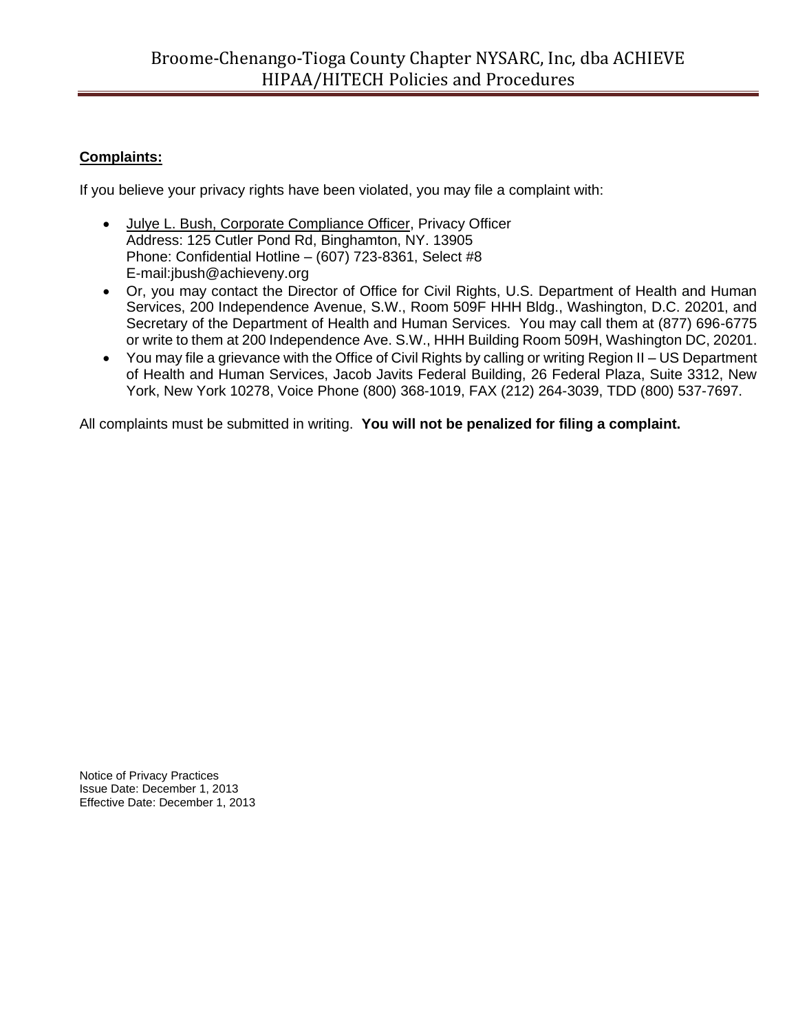#### **Complaints:**

If you believe your privacy rights have been violated, you may file a complaint with:

- Julye L. Bush, Corporate Compliance Officer, Privacy Officer Address: 125 Cutler Pond Rd, Binghamton, NY. 13905 Phone: Confidential Hotline – (607) 723-8361, Select #8 E-mail:jbush@achieveny.org
- Or, you may contact the Director of Office for Civil Rights, U.S. Department of Health and Human Services, 200 Independence Avenue, S.W., Room 509F HHH Bldg., Washington, D.C. 20201, and Secretary of the Department of Health and Human Services. You may call them at (877) 696-6775 or write to them at 200 Independence Ave. S.W., HHH Building Room 509H, Washington DC, 20201.
- You may file a grievance with the Office of Civil Rights by calling or writing Region II US Department of Health and Human Services, Jacob Javits Federal Building, 26 Federal Plaza, Suite 3312, New York, New York 10278, Voice Phone (800) 368-1019, FAX (212) 264-3039, TDD (800) 537-7697.

All complaints must be submitted in writing. **You will not be penalized for filing a complaint.**

Notice of Privacy Practices Issue Date: December 1, 2013 Effective Date: December 1, 2013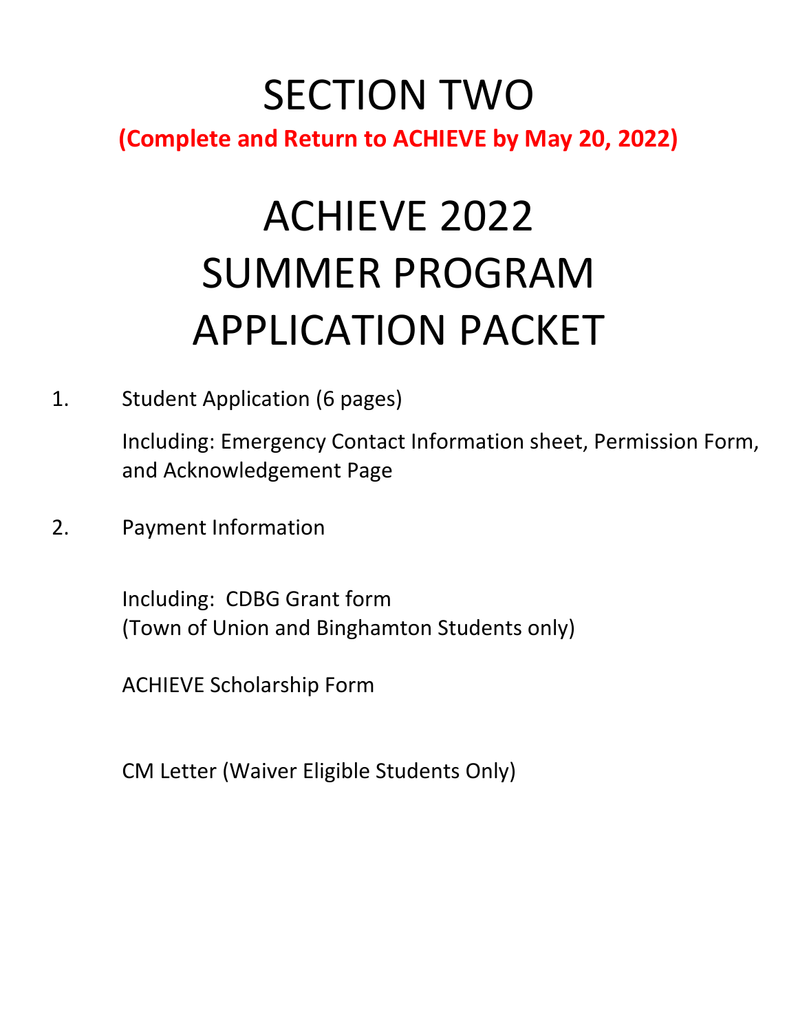## SECTION TWO **(Complete and Return to ACHIEVE by May 20, 2022)**

# ACHIEVE 2022 SUMMER PROGRAM APPLICATION PACKET

1. Student Application (6 pages)

Including: Emergency Contact Information sheet, Permission Form, and Acknowledgement Page

2. Payment Information

Including: CDBG Grant form (Town of Union and Binghamton Students only)

ACHIEVE Scholarship Form

CM Letter (Waiver Eligible Students Only)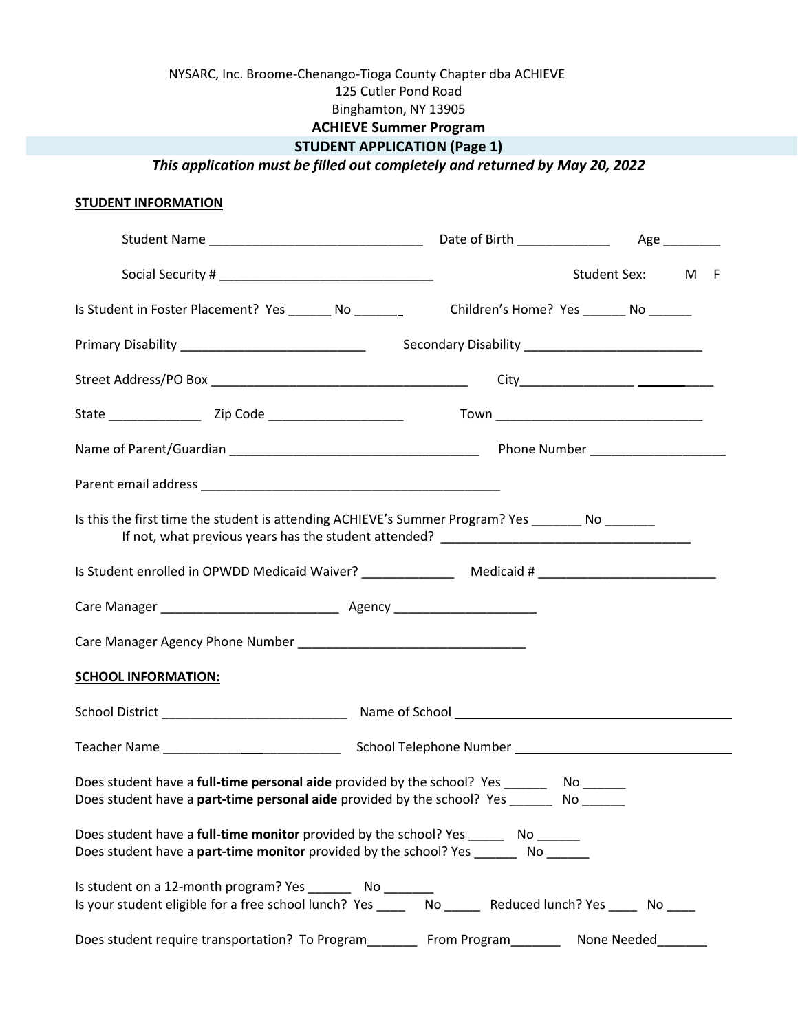#### NYSARC, Inc. Broome-Chenango-Tioga County Chapter dba ACHIEVE 125 Cutler Pond Road Binghamton, NY 13905 **ACHIEVE Summer Program STUDENT APPLICATION (Page 1)**

*This application must be filled out completely and returned by May 20, 2022*

#### **STUDENT INFORMATION**

|                                                                                       |                                                                                                                                                                                   | Student Sex: M F |
|---------------------------------------------------------------------------------------|-----------------------------------------------------------------------------------------------------------------------------------------------------------------------------------|------------------|
|                                                                                       | Is Student in Foster Placement? Yes No No Children's Home? Yes No                                                                                                                 |                  |
|                                                                                       |                                                                                                                                                                                   |                  |
|                                                                                       |                                                                                                                                                                                   |                  |
|                                                                                       |                                                                                                                                                                                   |                  |
|                                                                                       |                                                                                                                                                                                   |                  |
|                                                                                       |                                                                                                                                                                                   |                  |
|                                                                                       | Is this the first time the student is attending ACHIEVE's Summer Program? Yes _______ No _______                                                                                  |                  |
|                                                                                       |                                                                                                                                                                                   |                  |
|                                                                                       |                                                                                                                                                                                   |                  |
|                                                                                       |                                                                                                                                                                                   |                  |
| <b>SCHOOL INFORMATION:</b>                                                            |                                                                                                                                                                                   |                  |
|                                                                                       |                                                                                                                                                                                   |                  |
|                                                                                       |                                                                                                                                                                                   |                  |
|                                                                                       | Does student have a full-time personal aide provided by the school? Yes _________ No _______<br>Does student have a <b>part-time personal aide</b> provided by the school? Yes No |                  |
| Does student have a full-time monitor provided by the school? Yes ________ No _______ | Does student have a part-time monitor provided by the school? Yes ________ No ______                                                                                              |                  |
| Is student on a 12-month program? Yes _________ No ________                           | Is your student eligible for a free school lunch? Yes _____ No _____ Reduced lunch? Yes ____ No ____                                                                              |                  |
| Does student require transportation? To Program__________ From Program_________       |                                                                                                                                                                                   | None Needed      |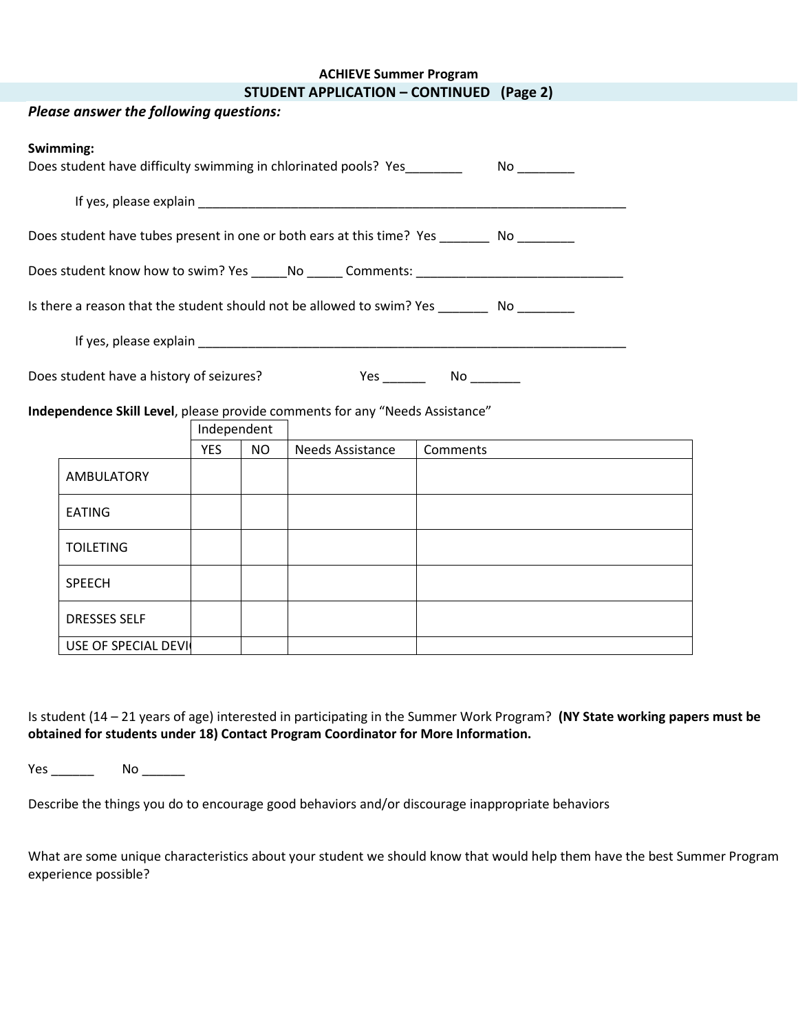| <b>ACHIEVE Summer Program</b> |  |  |
|-------------------------------|--|--|
|-------------------------------|--|--|

|  |  | <b>STUDENT APPLICATION - CONTINUED (Page 2)</b> |  |
|--|--|-------------------------------------------------|--|
|--|--|-------------------------------------------------|--|

|                                          | Please answer the following questions:                                                        |             |           |                         |          |  |
|------------------------------------------|-----------------------------------------------------------------------------------------------|-------------|-----------|-------------------------|----------|--|
|                                          | Swimming:<br>Does student have difficulty swimming in chlorinated pools? Yes                  |             |           |                         |          |  |
|                                          |                                                                                               |             |           |                         |          |  |
|                                          | Does student have tubes present in one or both ears at this time? Yes _________ No ________   |             |           |                         |          |  |
|                                          |                                                                                               |             |           |                         |          |  |
|                                          | Is there a reason that the student should not be allowed to swim? Yes __________ No _________ |             |           |                         |          |  |
|                                          |                                                                                               |             |           |                         |          |  |
| Does student have a history of seizures? |                                                                                               |             |           |                         |          |  |
|                                          | Independence Skill Level, please provide comments for any "Needs Assistance"                  |             |           |                         |          |  |
|                                          |                                                                                               | Independent |           |                         |          |  |
|                                          |                                                                                               | <b>YES</b>  | <b>NO</b> | <b>Needs Assistance</b> | Comments |  |
|                                          | <b>AMBULATORY</b>                                                                             |             |           |                         |          |  |
|                                          | <b>EATING</b>                                                                                 |             |           |                         |          |  |
|                                          | <b>TOILETING</b>                                                                              |             |           |                         |          |  |
|                                          | <b>SPEECH</b>                                                                                 |             |           |                         |          |  |
|                                          | <b>DRESSES SELF</b>                                                                           |             |           |                         |          |  |
|                                          | USE OF SPECIAL DEVI                                                                           |             |           |                         |          |  |

Is student (14 – 21 years of age) interested in participating in the Summer Work Program? **(NY State working papers must be obtained for students under 18) Contact Program Coordinator for More Information.** 

Yes \_\_\_\_\_\_ No \_\_\_\_\_\_

Describe the things you do to encourage good behaviors and/or discourage inappropriate behaviors

What are some unique characteristics about your student we should know that would help them have the best Summer Program experience possible?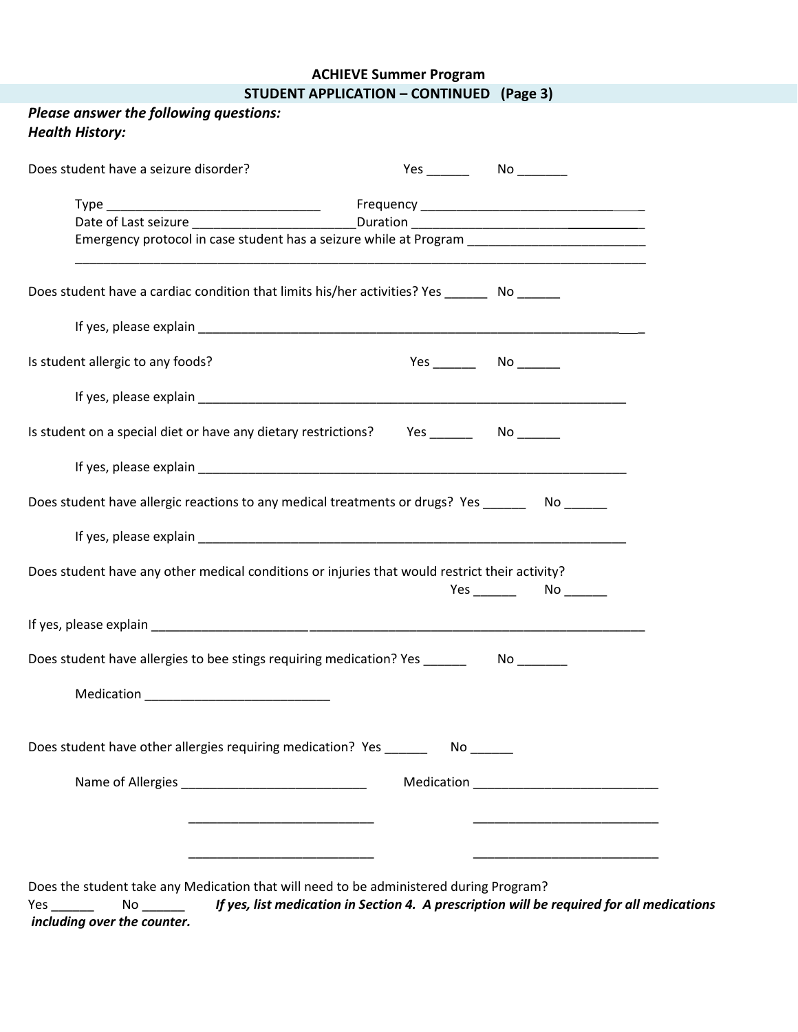#### **ACHIEVE Summer Program STUDENT APPLICATION – CONTINUED (Page 3)**

| Please answer the following questions:<br><b>Health History:</b>                                                                                                                         |                                                          |
|------------------------------------------------------------------------------------------------------------------------------------------------------------------------------------------|----------------------------------------------------------|
| Does student have a seizure disorder?                                                                                                                                                    |                                                          |
|                                                                                                                                                                                          |                                                          |
| Date of Last seizure ___________________________Duration ________________________<br>Emergency protocol in case student has a seizure while at Program _________________________________ |                                                          |
| Does student have a cardiac condition that limits his/her activities? Yes _______ No ______                                                                                              |                                                          |
|                                                                                                                                                                                          |                                                          |
| Is student allergic to any foods?                                                                                                                                                        | $Yes$ No $\_\_\_\_\_\$                                   |
|                                                                                                                                                                                          |                                                          |
| Is student on a special diet or have any dietary restrictions? Yes ______________ No _______                                                                                             |                                                          |
|                                                                                                                                                                                          |                                                          |
| Does student have allergic reactions to any medical treatments or drugs? Yes __________ No _______                                                                                       |                                                          |
|                                                                                                                                                                                          |                                                          |
| Does student have any other medical conditions or injuries that would restrict their activity?                                                                                           | Yes No                                                   |
|                                                                                                                                                                                          |                                                          |
| Does student have allergies to bee stings requiring medication? Yes                                                                                                                      | No                                                       |
|                                                                                                                                                                                          |                                                          |
| Does student have other allergies requiring medication? Yes __________ No ______                                                                                                         |                                                          |
|                                                                                                                                                                                          |                                                          |
|                                                                                                                                                                                          | <u> 1989 - Johann John Stone, mars eta biztanleria (</u> |
|                                                                                                                                                                                          |                                                          |
| Does the student take any Medication that will need to be administered during Program?                                                                                                   |                                                          |

Yes \_\_\_\_\_\_ No \_\_\_\_\_\_ *If yes, list medication in Section 4. A prescription will be required for all medications including over the counter.*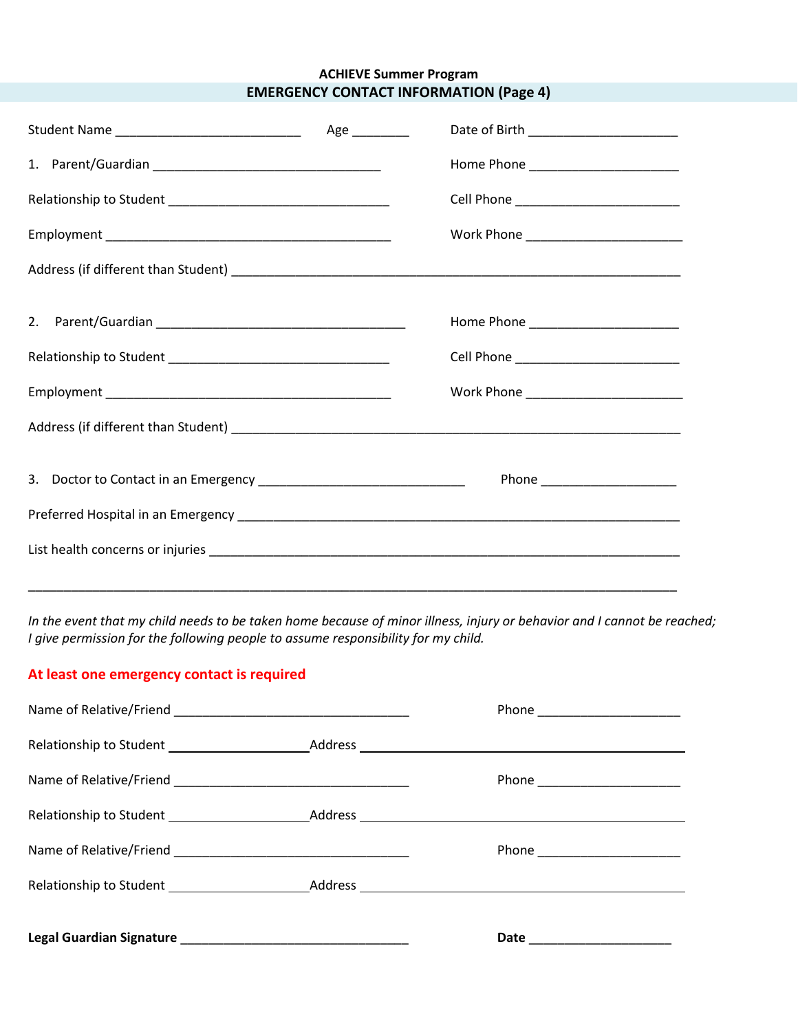#### **ACHIEVE Summer Program EMERGENCY CONTACT INFORMATION (Page 4)**

|                                                                         | Age ________ |                              |
|-------------------------------------------------------------------------|--------------|------------------------------|
|                                                                         |              |                              |
|                                                                         |              |                              |
|                                                                         |              |                              |
|                                                                         |              |                              |
|                                                                         |              |                              |
|                                                                         |              |                              |
|                                                                         |              |                              |
|                                                                         |              |                              |
| 3. Doctor to Contact in an Emergency __________________________________ |              | Phone ______________________ |
|                                                                         |              |                              |
|                                                                         |              |                              |
|                                                                         |              |                              |

*In the event that my child needs to be taken home because of minor illness, injury or behavior and I cannot be reached; I give permission for the following people to assume responsibility for my child.*

#### **At least one emergency contact is required**

|  | Phone ________________________ |
|--|--------------------------------|
|  |                                |
|  |                                |
|  |                                |
|  |                                |
|  |                                |
|  | Date ______________________    |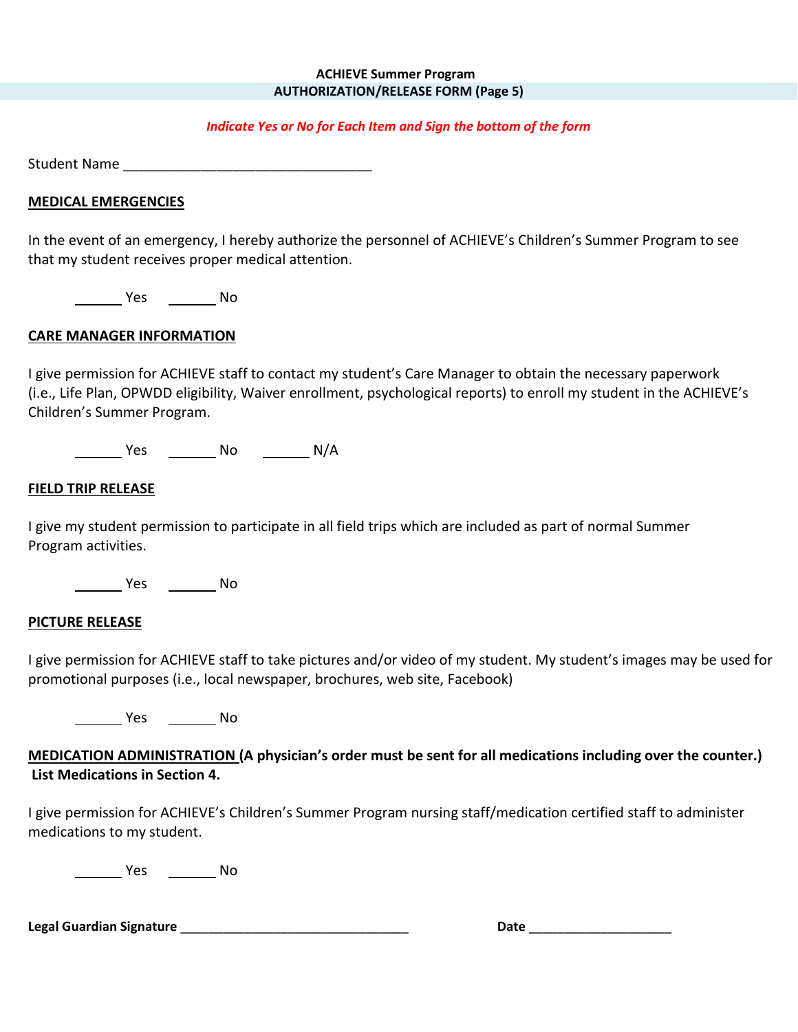#### **ACHIEVE Summer Program AUTHORIZATION/RELEASE FORM (Page 5)**

#### *Indicate Yes or No for Each Item and Sign the bottom of the form*

Student Name \_\_\_\_\_\_\_\_\_\_\_\_\_\_\_\_\_\_\_\_\_\_\_\_\_\_\_\_\_\_\_\_

#### **MEDICAL EMERGENCIES**

In the event of an emergency, I hereby authorize the personnel of ACHIEVE's Children's Summer Program to see that my student receives proper medical attention.

Yes No

#### **CARE MANAGER INFORMATION**

I give permission for ACHIEVE staff to contact my student's Care Manager to obtain the necessary paperwork (i.e., Life Plan, OPWDD eligibility, Waiver enrollment, psychological reports) to enroll my student in the ACHIEVE's Children's Summer Program.

Yes No N/A

#### **FIELD TRIP RELEASE**

I give my student permission to participate in all field trips which are included as part of normal Summer Program activities.

Yes No

#### **PICTURE RELEASE**

I give permission for ACHIEVE staff to take pictures and/or video of my student. My student's images may be used for promotional purposes (i.e., local newspaper, brochures, web site, Facebook)

Yes No

**MEDICATION ADMINISTRATION (A physician's order must be sent for all medications including over the counter.) List Medications in Section 4.**

I give permission for ACHIEVE's Children's Summer Program nursing staff/medication certified staff to administer medications to my student.

**Warehouse Marshall** Pies **No. 1996** 

**Legal Guardian Signature** \_\_\_\_\_\_\_\_\_\_\_\_\_\_\_\_\_\_\_\_\_\_\_\_\_\_\_\_\_\_\_\_ **Date** \_\_\_\_\_\_\_\_\_\_\_\_\_\_\_\_\_\_\_\_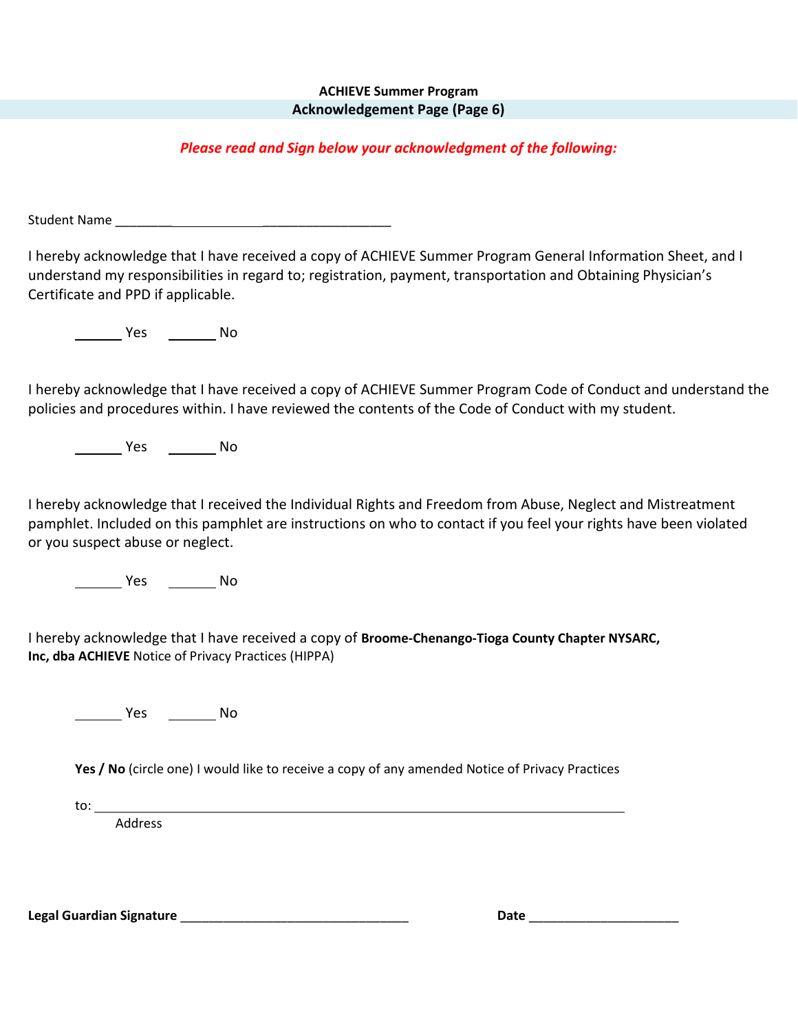#### **ACHIEVE Summer Program Acknowledgement Page (Page 6)**

#### *Please read and Sign below your acknowledgment of the following:*

Student Name \_\_\_\_\_\_\_\_ \_\_\_\_\_\_\_\_\_\_\_\_\_\_\_\_\_\_

I hereby acknowledge that I have received a copy of ACHIEVE Summer Program General Information Sheet, and I understand my responsibilities in regard to; registration, payment, transportation and Obtaining Physician's Certificate and PPD if applicable.

Yes No

I hereby acknowledge that I have received a copy of ACHIEVE Summer Program Code of Conduct and understand the policies and procedures within. I have reviewed the contents of the Code of Conduct with my student.

No No No No

I hereby acknowledge that I received the Individual Rights and Freedom from Abuse, Neglect and Mistreatment pamphlet. Included on this pamphlet are instructions on who to contact if you feel your rights have been violated or you suspect abuse or neglect.

No No Nesternal No

I hereby acknowledge that I have received a copy of **Broome-Chenango-Tioga County Chapter NYSARC, Inc, dba ACHIEVE** Notice of Privacy Practices (HIPPA)

Yes No

**Yes / No** (circle one) I would like to receive a copy of any amended Notice of Privacy Practices

to:

Address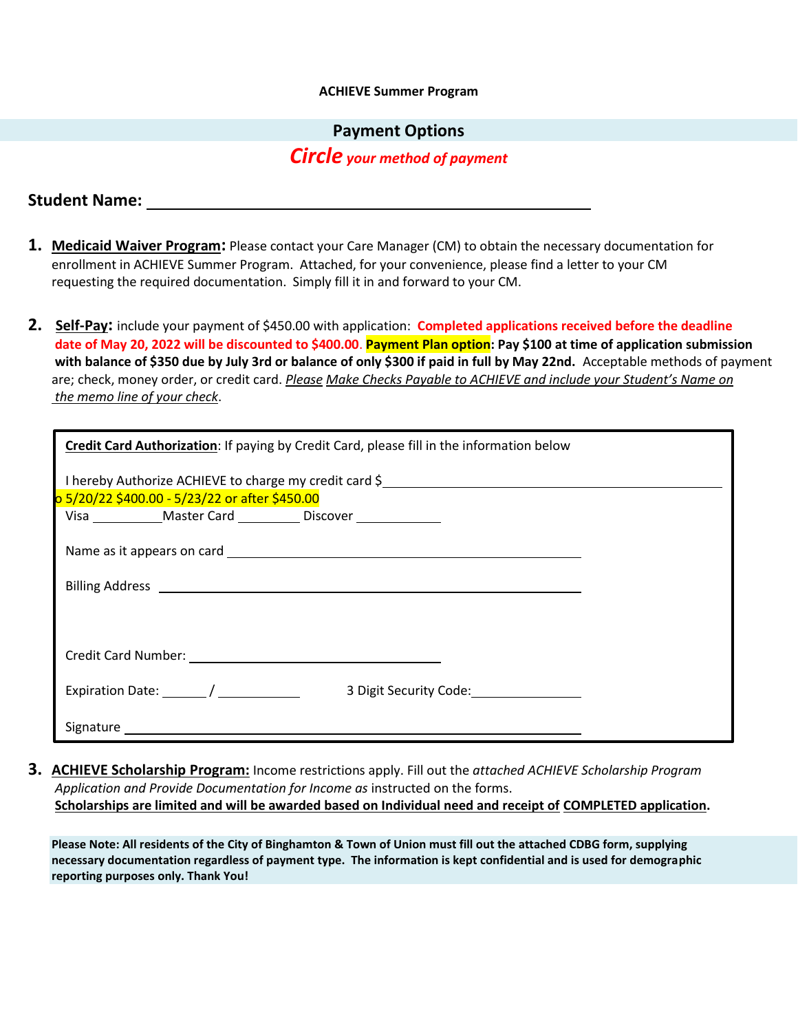#### **ACHIEVE Summer Program**

#### **Payment Options**

#### *Circle your method of payment*

#### **Student Name:**

- **1. Medicaid Waiver Program:** Please contact your Care Manager (CM) to obtain the necessary documentation for enrollment in ACHIEVE Summer Program. Attached, for your convenience, please find a letter to your CM requesting the required documentation. Simply fill it in and forward to your CM.
- **2. Self-Pay:** include your payment of \$450.00 with application: **Completed applications received before the deadline date of May 20, 2022 will be discounted to \$400.00**. **Payment Plan option: Pay \$100 at time of application submission with balance of \$350 due by July 3rd or balance of only \$300 if paid in full by May 22nd.** Acceptable methods of payment are; check, money order, or credit card. *Please Make Checks Payable to ACHIEVE and include your Student's Name on the memo line of your check*.

| 0 5/20/22 \$400.00 - 5/23/22 or after \$450.00 | I hereby Authorize ACHIEVE to charge my credit card \$                     |  |
|------------------------------------------------|----------------------------------------------------------------------------|--|
|                                                | Visa ________________Master Card ______________Discover __________________ |  |
|                                                |                                                                            |  |
|                                                |                                                                            |  |
|                                                |                                                                            |  |
|                                                |                                                                            |  |
| Expiration Date: _________/ __________         | 3 Digit Security Code:                                                     |  |

**3. ACHIEVE Scholarship Program:** Income restrictions apply. Fill out the *attached ACHIEVE Scholarship Program Application and Provide Documentation for Income as* instructed on the forms. **Scholarships are limited and will be awarded based on Individual need and receipt of COMPLETED application.**

**Please Note: All residents of the City of Binghamton & Town of Union must fill out the attached CDBG form, supplying necessary documentation regardless of payment type. The information is kept confidential and is used for demographic reporting purposes only. Thank You!**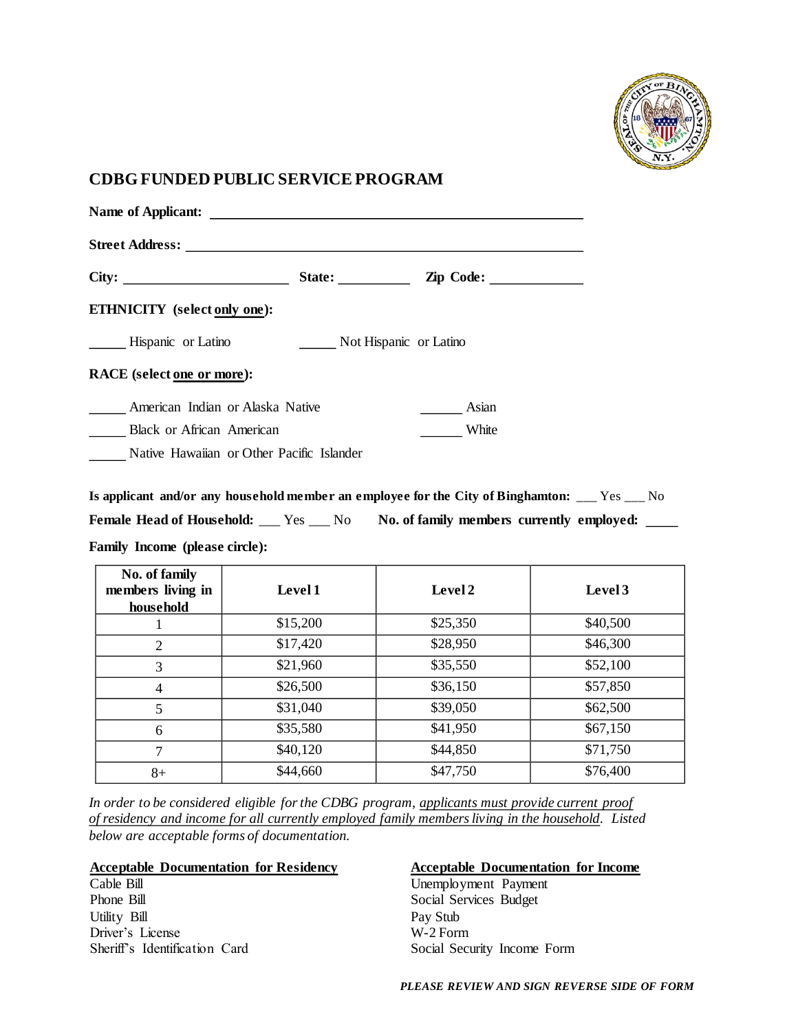

#### **CDBG FUNDED PUBLIC SERVICE PROGRAM**

| Street Address: Universe of the Street Address:<br>State: $\qquad \qquad$<br>$\mathbf{Zip}$ Code: $\qquad \qquad$ |
|-------------------------------------------------------------------------------------------------------------------|
|                                                                                                                   |
|                                                                                                                   |
|                                                                                                                   |
| Not Hispanic or Latino                                                                                            |
|                                                                                                                   |
| Asian                                                                                                             |
| White                                                                                                             |
| Native Hawaiian or Other Pacific Islander                                                                         |
|                                                                                                                   |

**Is applicant and/or any household member an employee for the City of Binghamton:** \_\_\_ Yes \_\_\_ No Female Head of Household: \_\_\_ Yes \_\_\_ No **No. of family members currently employed:** \_\_\_

**Family Income (please circle):**

| No. of family<br>members living in<br>household | Level 1  | Level 2  | Level 3  |
|-------------------------------------------------|----------|----------|----------|
|                                                 | \$15,200 | \$25,350 | \$40,500 |
| $\overline{2}$                                  | \$17,420 | \$28,950 | \$46,300 |
| 3                                               | \$21,960 | \$35,550 | \$52,100 |
| 4                                               | \$26,500 | \$36,150 | \$57,850 |
| 5                                               | \$31,040 | \$39,050 | \$62,500 |
| 6                                               | \$35,580 | \$41,950 | \$67,150 |
| 7                                               | \$40,120 | \$44,850 | \$71,750 |
| $8+$                                            | \$44,660 | \$47,750 | \$76,400 |

*In order to be considered eligible for the CDBG program, applicants must provide current proof of residency and income for all currently employed family members living in the household. Listed below are acceptable forms of documentation.*

#### **Acceptable Documentation for Residency**

Cable Bill Phone Bill Utility Bill Driver's License Sheriff's Identification Card

#### **Acceptable Documentation for Income**

Unemployment Payment Social Services Budget Pay Stub W-2 Form Social Security Income Form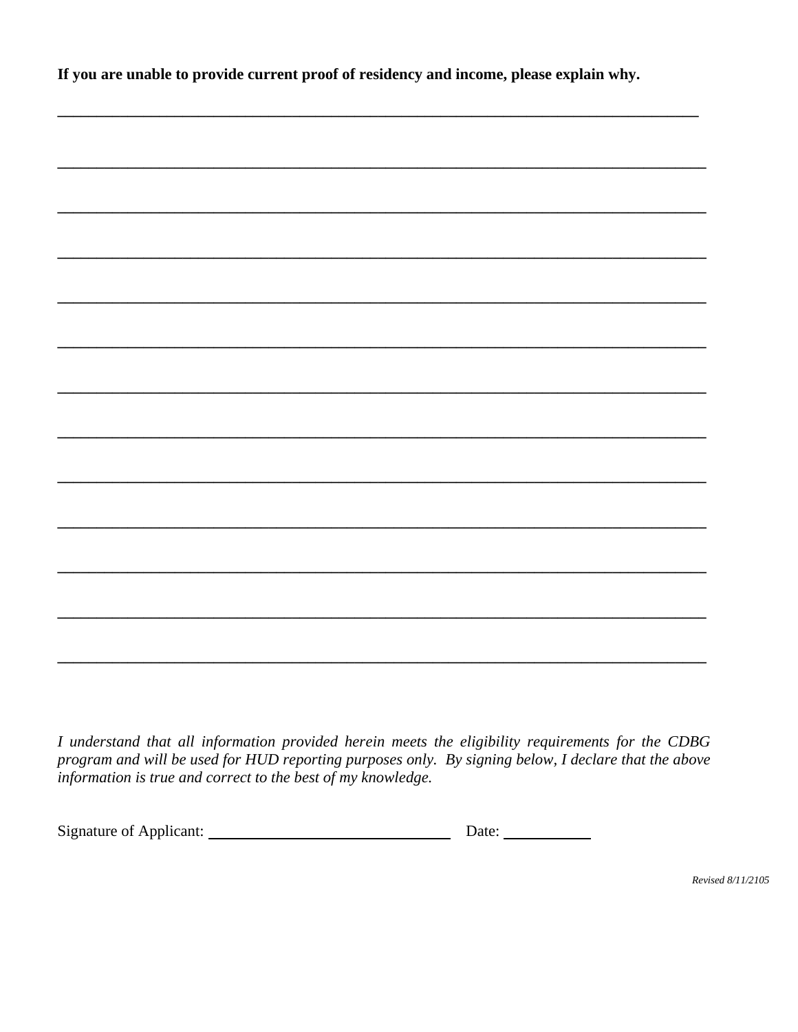If you are unable to provide current proof of residency and income, please explain why.

| $  -$<br>$\sim$ | . |  |
|-----------------|---|--|

I understand that all information provided herein meets the eligibility requirements for the CDBG program and will be used for HUD reporting purposes only. By signing below, I declare that the above information is true and correct to the best of my knowledge.

| <b>Signature of Applicant:</b> | Date: |  |
|--------------------------------|-------|--|
|                                |       |  |

Revised 8/11/2105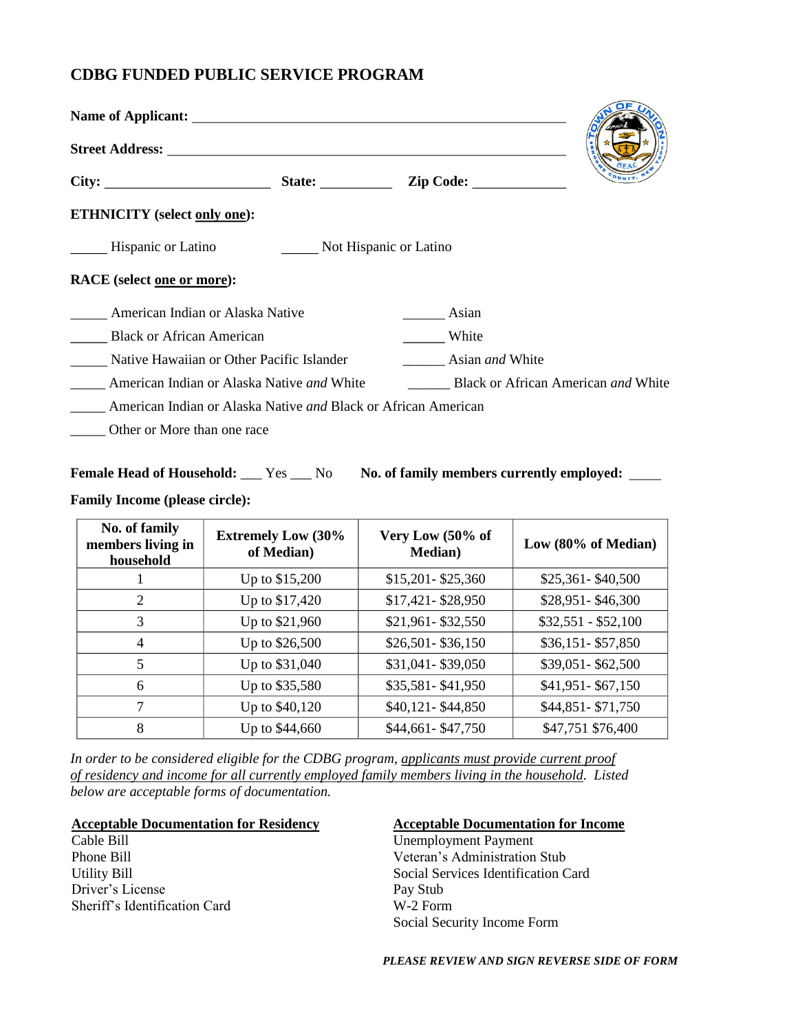#### **CDBG FUNDED PUBLIC SERVICE PROGRAM**

| Name of Applicant: Name of Applicant:                                 |                        |       |                                                   |  |
|-----------------------------------------------------------------------|------------------------|-------|---------------------------------------------------|--|
|                                                                       |                        |       |                                                   |  |
|                                                                       |                        |       |                                                   |  |
| <b>ETHNICITY</b> (select only one):                                   |                        |       |                                                   |  |
| Hispanic or Latino                                                    | Not Hispanic or Latino |       |                                                   |  |
| <b>RACE</b> (select one or more):                                     |                        |       |                                                   |  |
| American Indian or Alaska Native                                      |                        | Asian |                                                   |  |
| <b>Black or African American</b>                                      |                        | White |                                                   |  |
| Native Hawaiian or Other Pacific Islander                             |                        |       | Asian <i>and</i> White                            |  |
| American Indian or Alaska Native <i>and</i> White                     |                        |       | <b>Black or African American <i>and</i> White</b> |  |
| American Indian or Alaska Native <i>and</i> Black or African American |                        |       |                                                   |  |
| $\Omega_{\rm d}$ at $\Omega_{\rm d}$                                  |                        |       |                                                   |  |

\_\_\_\_\_ Other or More than one race

#### Female Head of Household: \_\_\_ Yes \_\_\_ No **No. of family members currently employed:** \_\_\_\_

#### **Family Income (please circle):**

| No. of family<br>members living in<br>household | <b>Extremely Low (30%</b><br>of Median) | Very Low (50% of<br><b>Median</b> ) | Low (80% of Median) |
|-------------------------------------------------|-----------------------------------------|-------------------------------------|---------------------|
|                                                 | Up to \$15,200                          | \$15,201-\$25,360                   | $$25,361 - $40,500$ |
| 2                                               | Up to \$17,420                          | \$17,421-\$28,950                   | \$28,951-\$46,300   |
| 3                                               | Up to \$21,960                          | \$21,961-\$32,550                   | $$32,551 - $52,100$ |
| 4                                               | Up to \$26,500                          | \$26,501-\$36,150                   | \$36,151-\$57,850   |
| 5                                               | Up to \$31,040                          | \$31,041-\$39,050                   | \$39,051-\$62,500   |
| 6                                               | Up to \$35,580                          | \$35,581-\$41,950                   | \$41,951-\$67,150   |
| 7                                               | Up to \$40,120                          | \$40,121-\$44,850                   | \$44,851-\$71,750   |
| 8                                               | Up to \$44,660                          | \$44,661-\$47,750                   | \$47,751 \$76,400   |

*In order to be considered eligible for the CDBG program, applicants must provide current proof of residency and income for all currently employed family members living in the household. Listed below are acceptable forms of documentation.*

#### **Acceptable Documentation for Residency**

Cable Bill Phone Bill Utility Bill Driver's License Sheriff's Identification Card

#### **Acceptable Documentation for Income**

Unemployment Payment Veteran's Administration Stub Social Services Identification Card Pay Stub W-2 Form Social Security Income Form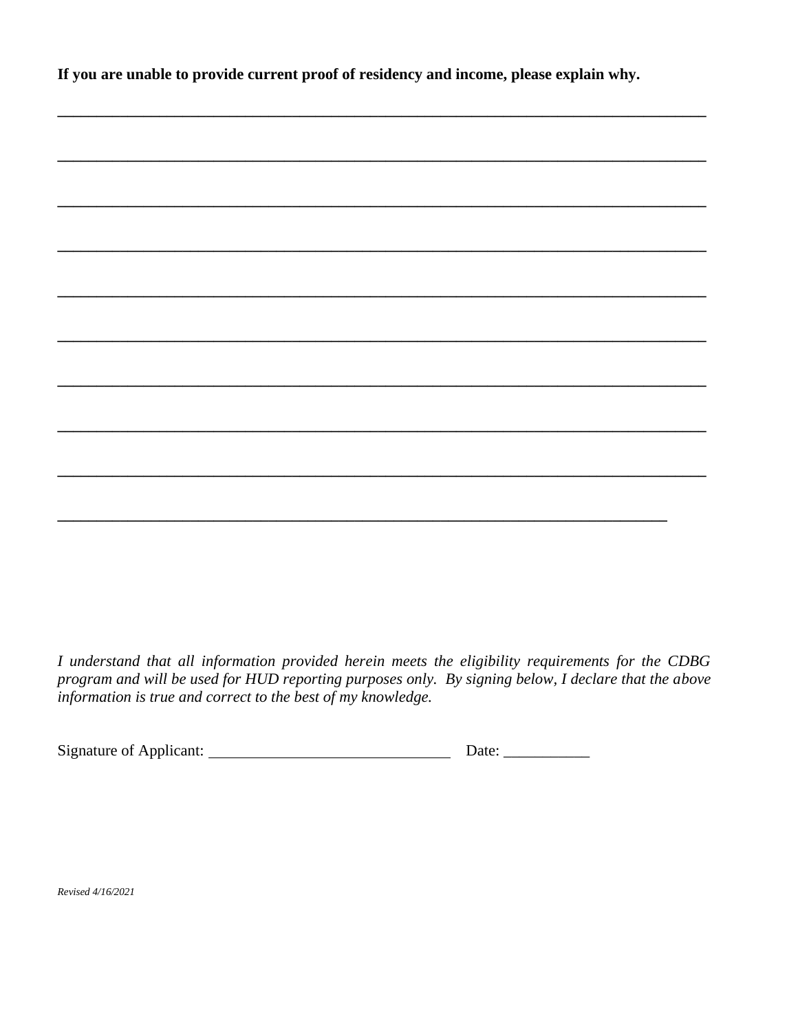If you are unable to provide current proof of residency and income, please explain why.

I understand that all information provided herein meets the eligibility requirements for the CDBG program and will be used for HUD reporting purposes only. By signing below, I declare that the above information is true and correct to the best of my knowledge.

Revised 4/16/2021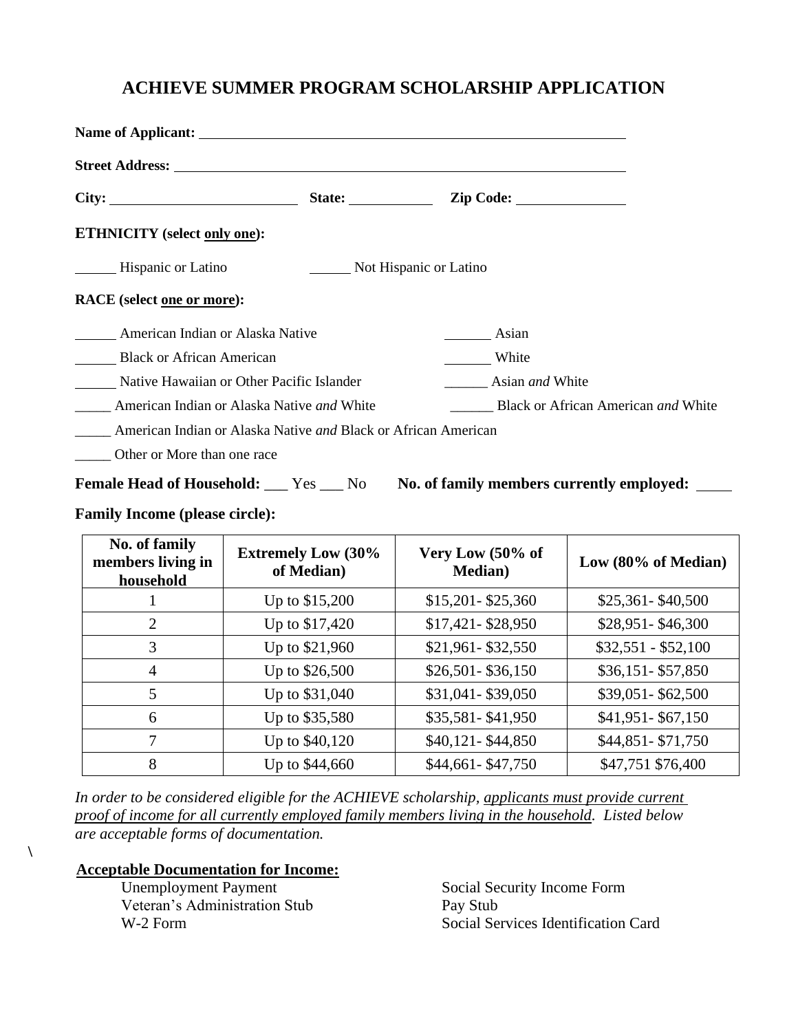#### **ACHIEVE SUMMER PROGRAM SCHOLARSHIP APPLICATION**

| Name of Applicant: the contract of the contract of the contract of the contract of the contract of the contract of the contract of the contract of the contract of the contract of the contract of the contract of the contrac |                             |                                            |
|--------------------------------------------------------------------------------------------------------------------------------------------------------------------------------------------------------------------------------|-----------------------------|--------------------------------------------|
| <b>Street Address:</b> Street Address:                                                                                                                                                                                         |                             |                                            |
|                                                                                                                                                                                                                                | State: $\frac{\sqrt{2}}{2}$ |                                            |
| <b>ETHNICITY</b> (select only one):                                                                                                                                                                                            |                             |                                            |
| Hispanic or Latino                                                                                                                                                                                                             |                             | Not Hispanic or Latino                     |
| RACE (select one or more):                                                                                                                                                                                                     |                             |                                            |
| American Indian or Alaska Native                                                                                                                                                                                               |                             | Asian                                      |
| <b>Black or African American</b>                                                                                                                                                                                               |                             | White                                      |
| Native Hawaiian or Other Pacific Islander                                                                                                                                                                                      |                             | Asian <i>and</i> White                     |
| American Indian or Alaska Native and White                                                                                                                                                                                     |                             | Black or African American <i>and</i> White |
| American Indian or Alaska Native and Black or African American                                                                                                                                                                 |                             |                                            |
| Other or More than one race                                                                                                                                                                                                    |                             |                                            |

Female Head of Household: \_\_\_ Yes \_\_\_ No No. of family members currently employed: \_\_\_\_

#### **Family Income (please circle):**

| No. of family<br>members living in<br>household | <b>Extremely Low (30%)</b><br>of Median) | Very Low (50% of<br><b>Median</b> ) | Low (80% of Median) |
|-------------------------------------------------|------------------------------------------|-------------------------------------|---------------------|
|                                                 | Up to \$15,200                           | $$15,201 - $25,360$                 | $$25,361 - $40,500$ |
| $\overline{2}$                                  | Up to \$17,420                           | \$17,421-\$28,950                   | \$28,951-\$46,300   |
| 3                                               | Up to \$21,960                           | \$21,961-\$32,550                   | $$32,551 - $52,100$ |
| $\overline{4}$                                  | Up to \$26,500                           | $$26,501 - $36,150$                 | $$36,151 - $57,850$ |
| 5                                               | Up to \$31,040                           | \$31,041-\$39,050                   | \$39,051-\$62,500   |
| 6                                               | Up to \$35,580                           | \$35,581-\$41,950                   | \$41,951-\$67,150   |
| 7                                               | Up to \$40,120                           | \$40,121-\$44,850                   | \$44,851-\$71,750   |
| 8                                               | Up to \$44,660                           | \$44,661-\$47,750                   | \$47,751 \$76,400   |

*In order to be considered eligible for the ACHIEVE scholarship, applicants must provide current proof of income for all currently employed family members living in the household. Listed below are acceptable forms of documentation.*

#### **Acceptable Documentation for Income:**

**\**

 Unemployment Payment Veteran's Administration Stub W-2 Form

Social Security Income Form Pay Stub Social Services Identification Card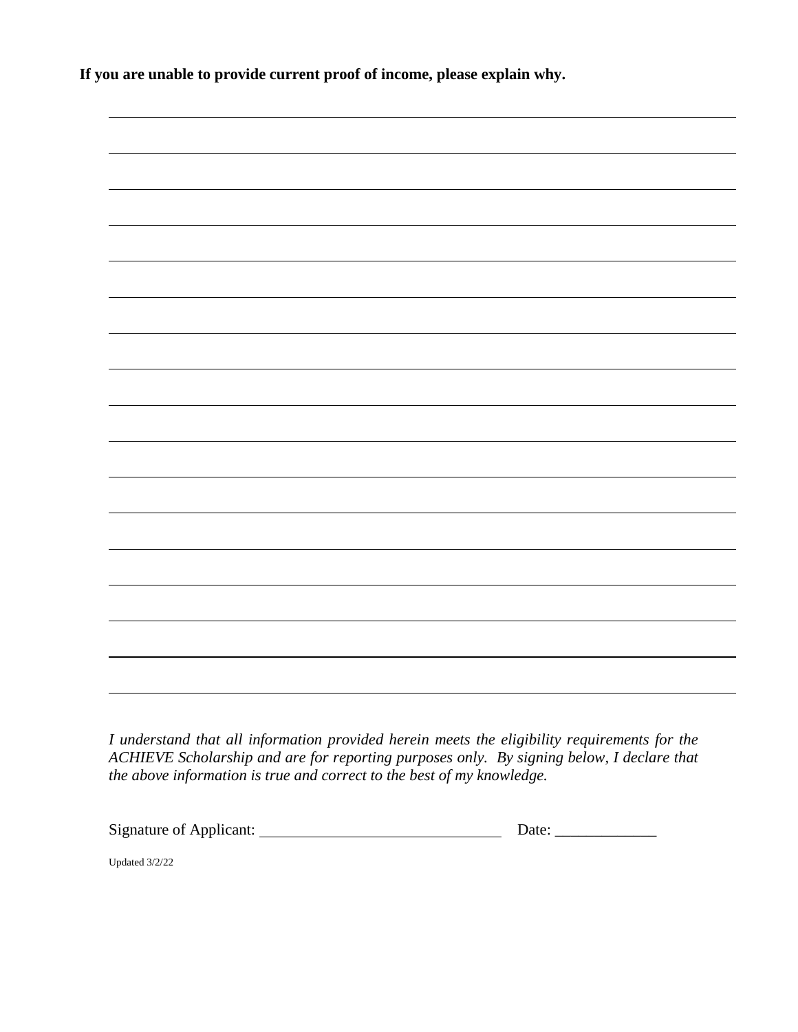**If you are unable to provide current proof of income, please explain why.**



*I understand that all information provided herein meets the eligibility requirements for the ACHIEVE Scholarship and are for reporting purposes only. By signing below, I declare that the above information is true and correct to the best of my knowledge.* 

Signature of Applicant: Date: \_\_\_\_\_\_\_\_\_\_\_\_\_

Updated 3/2/22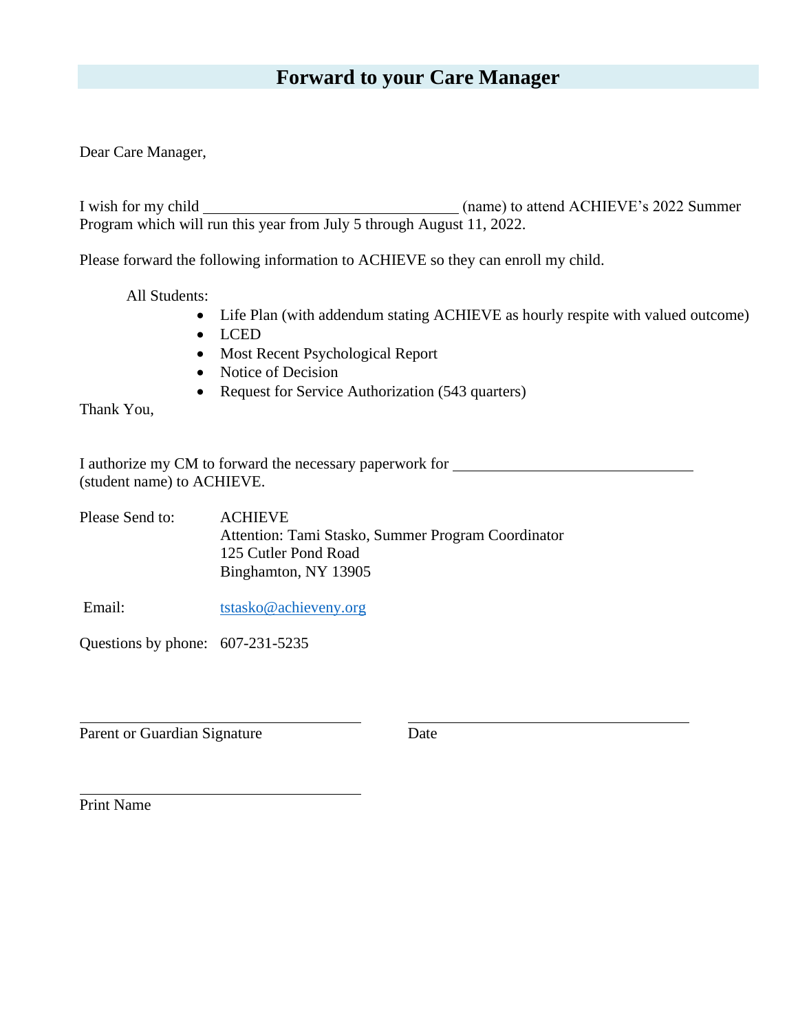#### **Forward to your Care Manager**

Dear Care Manager,

I wish for my child (name) to attend ACHIEVE's 2022 Summer Program which will run this year from July 5 through August 11, 2022.

Please forward the following information to ACHIEVE so they can enroll my child.

All Students:

- Life Plan (with addendum stating ACHIEVE as hourly respite with valued outcome)
- LCED
- Most Recent Psychological Report
- Notice of Decision
- Request for Service Authorization (543 quarters)

Thank You,

I authorize my CM to forward the necessary paperwork for (student name) to ACHIEVE.

| Please Send to: | <b>ACHIEVE</b>                                     |
|-----------------|----------------------------------------------------|
|                 | Attention: Tami Stasko, Summer Program Coordinator |
|                 | 125 Cutler Pond Road                               |
|                 | Binghamton, NY 13905                               |
|                 |                                                    |

Email: [tstasko@achieveny.org](mailto:tstasko@achieveny.org)

Questions by phone: 607-231-5235

Parent or Guardian Signature Date

Print Name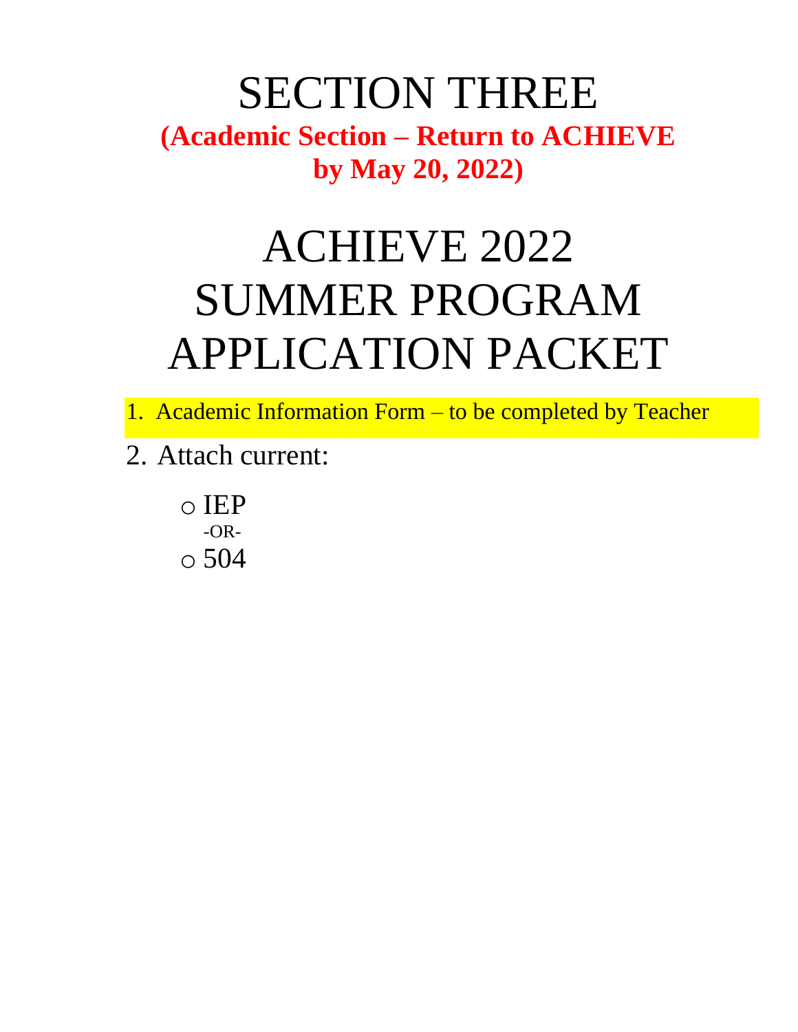### SECTION THREE **(Academic Section – Return to ACHIEVE by May 20, 2022)**

## ACHIEVE 2022 SUMMER PROGRAM APPLICATION PACKET

1. Academic Information Form – to be completed by Teacher

2. Attach current:

o IEP -OR- $\circ$  504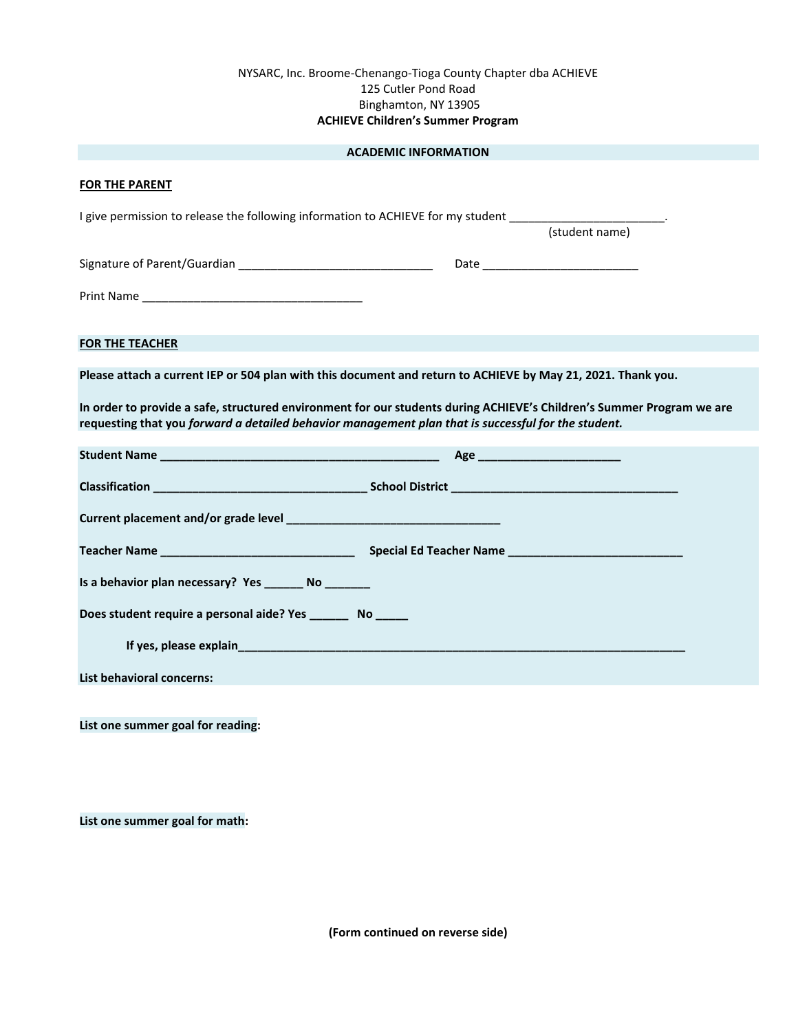#### NYSARC, Inc. Broome-Chenango-Tioga County Chapter dba ACHIEVE 125 Cutler Pond Road Binghamton, NY 13905 **ACHIEVE Children's Summer Program**

|                                                                                                     | <b>ACADEMIC INFORMATION</b>                                                                                                   |  |
|-----------------------------------------------------------------------------------------------------|-------------------------------------------------------------------------------------------------------------------------------|--|
| <b>FOR THE PARENT</b>                                                                               |                                                                                                                               |  |
|                                                                                                     | I give permission to release the following information to ACHIEVE for my student _________________________.<br>(student name) |  |
|                                                                                                     |                                                                                                                               |  |
|                                                                                                     |                                                                                                                               |  |
|                                                                                                     |                                                                                                                               |  |
| <b>FOR THE TEACHER</b>                                                                              |                                                                                                                               |  |
|                                                                                                     | Please attach a current IEP or 504 plan with this document and return to ACHIEVE by May 21, 2021. Thank you.                  |  |
| requesting that you forward a detailed behavior management plan that is successful for the student. | In order to provide a safe, structured environment for our students during ACHIEVE's Children's Summer Program we are         |  |
|                                                                                                     |                                                                                                                               |  |
|                                                                                                     |                                                                                                                               |  |
|                                                                                                     |                                                                                                                               |  |
|                                                                                                     |                                                                                                                               |  |
| Is a behavior plan necessary? Yes ________ No ________                                              |                                                                                                                               |  |
| Does student require a personal aide? Yes ________ No ______                                        |                                                                                                                               |  |
|                                                                                                     |                                                                                                                               |  |
| <b>List behavioral concerns:</b>                                                                    |                                                                                                                               |  |
|                                                                                                     |                                                                                                                               |  |
| List one summer goal for reading:                                                                   |                                                                                                                               |  |
|                                                                                                     |                                                                                                                               |  |

**List one summer goal for math:**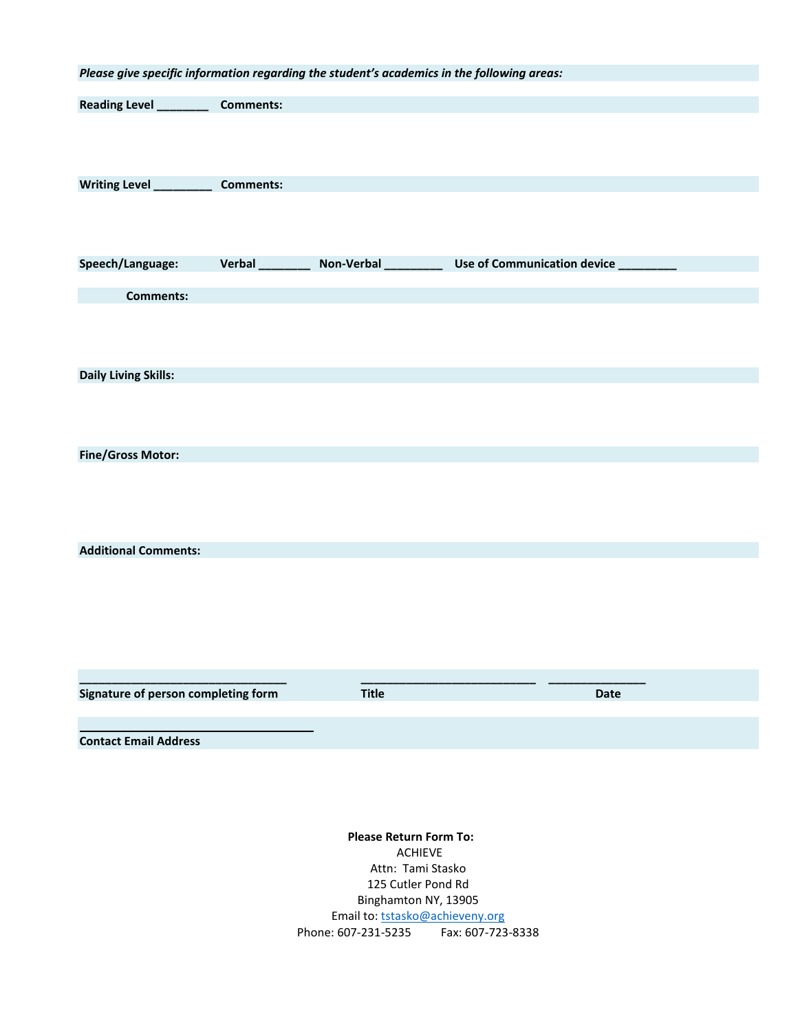| Please give specific information regarding the student's academics in the following areas: |                        |                               |                                     |                               |  |
|--------------------------------------------------------------------------------------------|------------------------|-------------------------------|-------------------------------------|-------------------------------|--|
| Reading Level ________                                                                     | <b>Comments:</b>       |                               |                                     |                               |  |
|                                                                                            |                        |                               |                                     |                               |  |
|                                                                                            |                        |                               |                                     |                               |  |
| Writing Level _________                                                                    | <b>Comments:</b>       |                               |                                     |                               |  |
|                                                                                            |                        |                               |                                     |                               |  |
|                                                                                            |                        |                               |                                     |                               |  |
|                                                                                            |                        |                               |                                     |                               |  |
| Speech/Language:                                                                           | <b>Verbal</b> ________ | Non-Verbal _________          |                                     | Use of Communication device _ |  |
| <b>Comments:</b>                                                                           |                        |                               |                                     |                               |  |
|                                                                                            |                        |                               |                                     |                               |  |
|                                                                                            |                        |                               |                                     |                               |  |
| <b>Daily Living Skills:</b>                                                                |                        |                               |                                     |                               |  |
|                                                                                            |                        |                               |                                     |                               |  |
|                                                                                            |                        |                               |                                     |                               |  |
|                                                                                            |                        |                               |                                     |                               |  |
| <b>Fine/Gross Motor:</b>                                                                   |                        |                               |                                     |                               |  |
|                                                                                            |                        |                               |                                     |                               |  |
|                                                                                            |                        |                               |                                     |                               |  |
|                                                                                            |                        |                               |                                     |                               |  |
| <b>Additional Comments:</b>                                                                |                        |                               |                                     |                               |  |
|                                                                                            |                        |                               |                                     |                               |  |
|                                                                                            |                        |                               |                                     |                               |  |
|                                                                                            |                        |                               |                                     |                               |  |
|                                                                                            |                        |                               |                                     |                               |  |
|                                                                                            |                        |                               |                                     |                               |  |
| Signature of person completing form                                                        |                        | <b>Title</b>                  |                                     | <b>Date</b>                   |  |
|                                                                                            |                        |                               |                                     |                               |  |
| <b>Contact Email Address</b>                                                               |                        |                               |                                     |                               |  |
|                                                                                            |                        |                               |                                     |                               |  |
|                                                                                            |                        |                               |                                     |                               |  |
|                                                                                            |                        |                               |                                     |                               |  |
|                                                                                            |                        | <b>Please Return Form To:</b> |                                     |                               |  |
|                                                                                            |                        |                               | <b>ACHIEVE</b><br>Attn: Tami Stasko |                               |  |
|                                                                                            |                        |                               | 125 Cutler Pond Rd                  |                               |  |
|                                                                                            |                        |                               | Binghamton NY, 13905                |                               |  |

Email to[: tstasko@achieveny.org](mailto:tstasko@achieveny.org)

Phone: 607-231-5235 Fax: 607-723-8338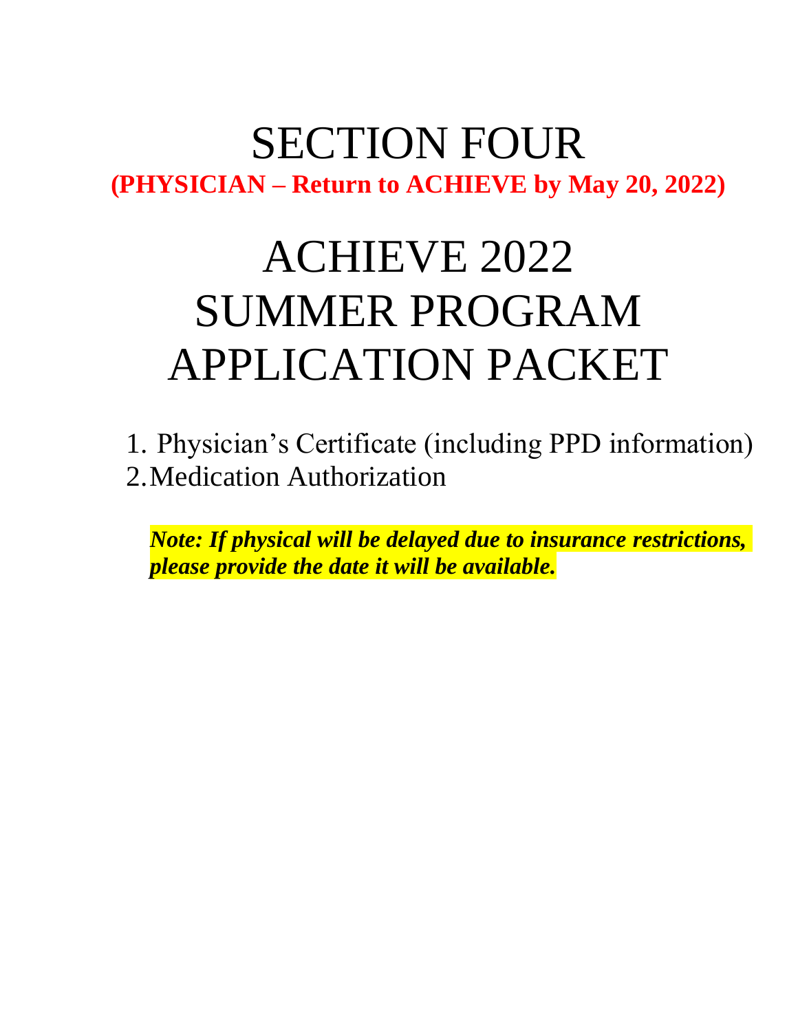### SECTION FOUR **(PHYSICIAN – Return to ACHIEVE by May 20, 2022)**

## ACHIEVE 2022 SUMMER PROGRAM APPLICATION PACKET

1. Physician's Certificate (including PPD information) 2.Medication Authorization

*Note: If physical will be delayed due to insurance restrictions, please provide the date it will be available.*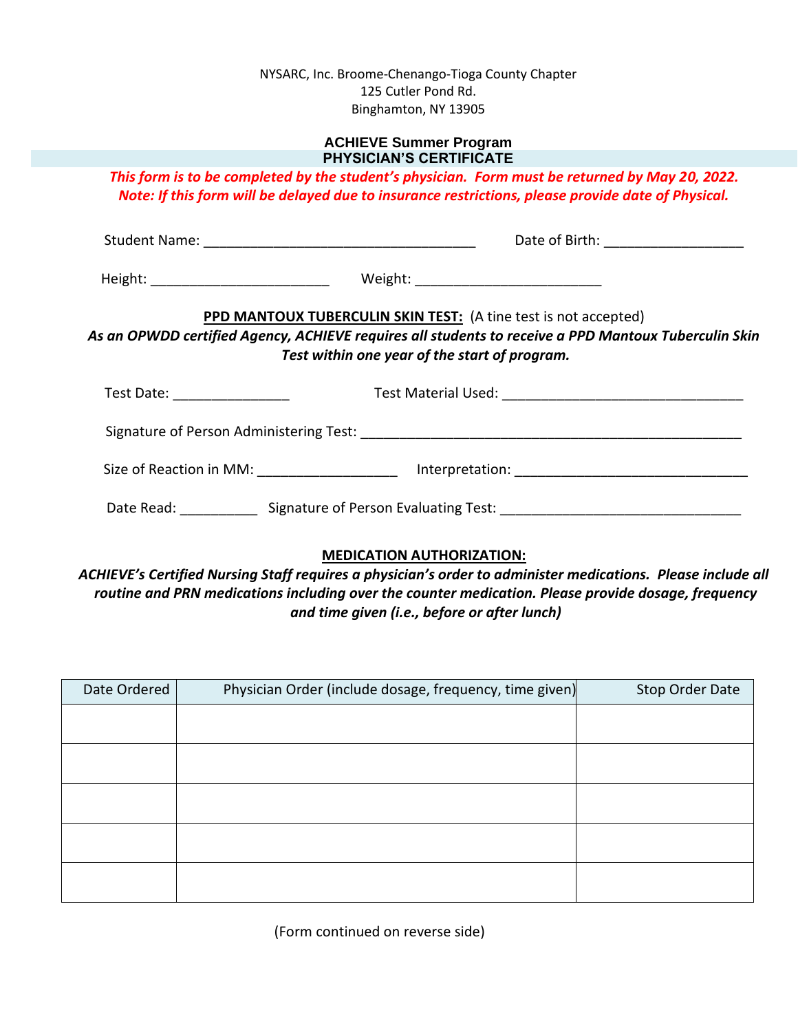NYSARC, Inc. Broome-Chenango-Tioga County Chapter 125 Cutler Pond Rd. Binghamton, NY 13905

#### **ACHIEVE Summer Program PHYSICIAN'S CERTIFICATE**

*This form is to be completed by the student's physician. Form must be returned by May 20, 2022. Note: If this form will be delayed due to insurance restrictions, please provide date of Physical.* 

|                                | Date of Birth: _______________________                                                                                                                                                                                   |  |
|--------------------------------|--------------------------------------------------------------------------------------------------------------------------------------------------------------------------------------------------------------------------|--|
|                                |                                                                                                                                                                                                                          |  |
|                                | PPD MANTOUX TUBERCULIN SKIN TEST: (A tine test is not accepted)<br>As an OPWDD certified Agency, ACHIEVE requires all students to receive a PPD Mantoux Tuberculin Skin<br>Test within one year of the start of program. |  |
| Test Date: ___________________ |                                                                                                                                                                                                                          |  |
|                                |                                                                                                                                                                                                                          |  |
|                                | Size of Reaction in MM: ________________________ Interpretation: ___________________________________                                                                                                                     |  |
|                                |                                                                                                                                                                                                                          |  |

#### **MEDICATION AUTHORIZATION:**

*ACHIEVE's Certified Nursing Staff requires a physician's order to administer medications. Please include all routine and PRN medications including over the counter medication. Please provide dosage, frequency and time given (i.e., before or after lunch)*

| Date Ordered | Physician Order (include dosage, frequency, time given) | Stop Order Date |
|--------------|---------------------------------------------------------|-----------------|
|              |                                                         |                 |
|              |                                                         |                 |
|              |                                                         |                 |
|              |                                                         |                 |
|              |                                                         |                 |

(Form continued on reverse side)